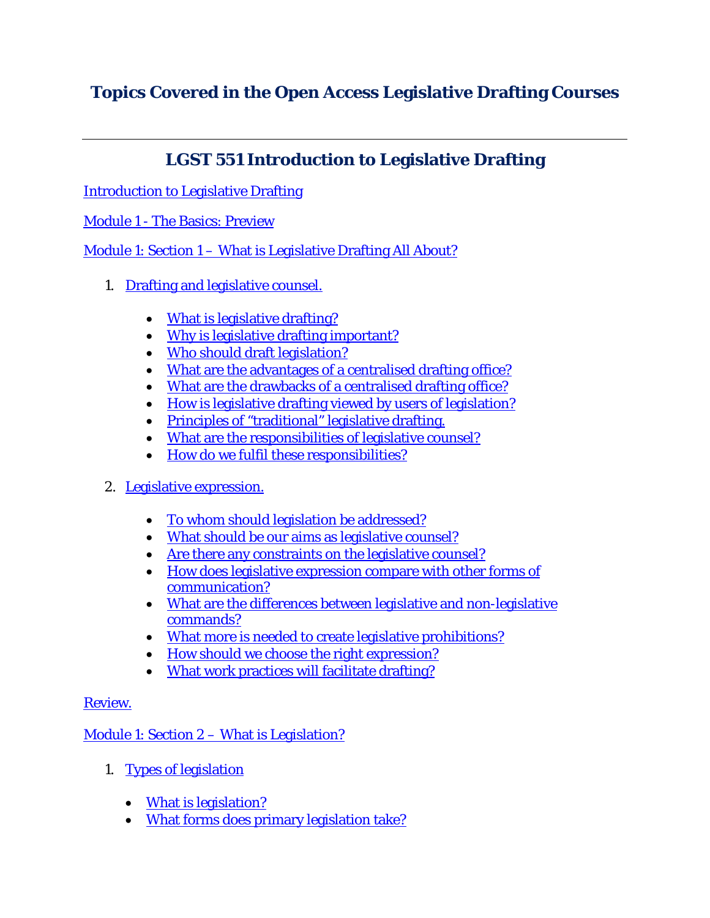# **Topics Covered in the Open Access Legislative Drafting Courses**

# **LGST 551 Introduction to Legislative Drafting**

[Introduction to Legislative Drafting](http://ocw.lms.athabascau.ca/course/view.php?id=62)

## Module 1 - [The Basics: Preview](http://ocw.lms.athabascau.ca/mod/page/view.php?id=2328)

Module 1: Section 1 – [What is Legislative Drafting All About?](http://ocw.lms.athabascau.ca/mod/book/view.php?id=2329)

- 1. [Drafting and legislative counsel.](http://ocw.lms.athabascau.ca/mod/book/view.php?id=2329&chapterid=1920)
	- [What is legislative drafting?](http://ocw.lms.athabascau.ca/mod/book/view.php?id=2329&chapterid=1907)
	- [Why is legislative drafting important?](http://ocw.lms.athabascau.ca/mod/book/view.php?id=2329&chapterid=1921)
	- [Who should draft legislation?](http://ocw.lms.athabascau.ca/mod/book/view.php?id=2329&chapterid=1915)
	- [What are the advantages of a centralised drafting office?](http://ocw.lms.athabascau.ca/mod/book/view.php?id=2329&chapterid=1908)
	- [What are the drawbacks of a centralised drafting office?](http://ocw.lms.athabascau.ca/mod/book/view.php?id=2329&chapterid=1923)
	- [How is legislative drafting viewed by users of legislation?](http://ocw.lms.athabascau.ca/mod/book/view.php?id=2329&chapterid=1926)
	- [Principles of "traditional" legislative drafting.](http://ocw.lms.athabascau.ca/mod/book/view.php?id=2329&chapterid=1909)
	- [What are the responsibilities of legislative counsel?](http://ocw.lms.athabascau.ca/mod/book/view.php?id=2329&chapterid=1918)
	- How do we [fulfil these responsibilities?](http://ocw.lms.athabascau.ca/mod/book/view.php?id=2329&chapterid=1925)
- 2. [Legislative expression.](http://ocw.lms.athabascau.ca/mod/book/view.php?id=2329&chapterid=1910)
	- [To whom should legislation be addressed?](http://ocw.lms.athabascau.ca/mod/book/view.php?id=2329&chapterid=1922)
	- [What should be our aims as legislative counsel?](http://ocw.lms.athabascau.ca/mod/book/view.php?id=2329&chapterid=1927)
	- [Are there any constraints on the legislative counsel?](http://ocw.lms.athabascau.ca/mod/book/view.php?id=2329&chapterid=1914)
	- [How does legislative expression compare with other forms of](http://ocw.lms.athabascau.ca/mod/book/view.php?id=2329&chapterid=1911)  [communication?](http://ocw.lms.athabascau.ca/mod/book/view.php?id=2329&chapterid=1911)
	- [What are the differences between legislative and non-legislative](http://ocw.lms.athabascau.ca/mod/book/view.php?id=2329&chapterid=1924)  [commands?](http://ocw.lms.athabascau.ca/mod/book/view.php?id=2329&chapterid=1924)
	- [What more is needed to create legislative prohibitions?](http://ocw.lms.athabascau.ca/mod/book/view.php?id=2329&chapterid=1919)
	- [How should we choose the right expression?](http://ocw.lms.athabascau.ca/mod/book/view.php?id=2329&chapterid=1912)
	- [What work practices will facilitate drafting?](http://ocw.lms.athabascau.ca/mod/book/view.php?id=2329&chapterid=1913)

### [Review.](http://ocw.lms.athabascau.ca/mod/book/view.php?id=2329&chapterid=1917)

Module 1: Section 2 – [What is Legislation?](http://ocw.lms.athabascau.ca/mod/book/view.php?id=2332)

- 1. [Types of legislation](http://ocw.lms.athabascau.ca/mod/book/view.php?id=2332&chapterid=1928)
	- [What is legislation?](http://ocw.lms.athabascau.ca/mod/book/view.php?id=2332&chapterid=1937)
	- [What forms does primary legislation take?](http://ocw.lms.athabascau.ca/mod/book/view.php?id=2332&chapterid=1938)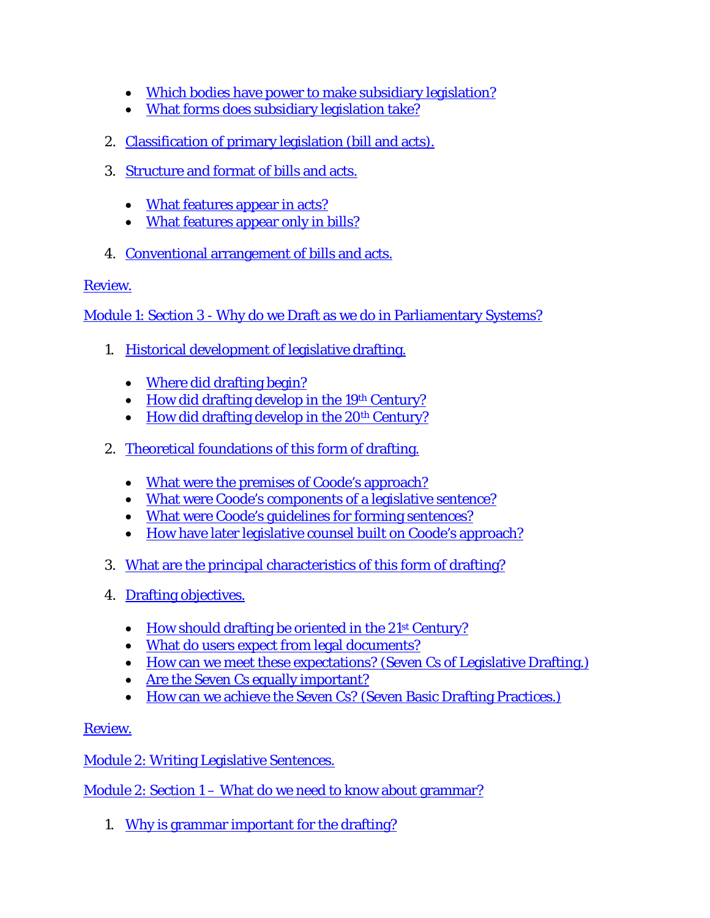- [Which bodies have power to make subsidiary legislation?](http://ocw.lms.athabascau.ca/mod/book/view.php?id=2332&chapterid=1929)
- [What forms does subsidiary legislation take?](http://ocw.lms.athabascau.ca/mod/book/view.php?id=2332&chapterid=1936)
- 2. [Classification of primary legislation \(bill and acts\).](http://ocw.lms.athabascau.ca/mod/book/view.php?id=2332&chapterid=1930)
- 3. [Structure and format of bills and acts.](http://ocw.lms.athabascau.ca/mod/book/view.php?id=2332&chapterid=1939)
	- [What features appear in acts?](http://ocw.lms.athabascau.ca/mod/book/view.php?id=2332&chapterid=1931)
	- [What features appear only in bills?](http://ocw.lms.athabascau.ca/mod/book/view.php?id=2332&chapterid=1932)
- 4. [Conventional arrangement of bills and acts.](http://ocw.lms.athabascau.ca/mod/book/view.php?id=2332&chapterid=1933)

Module 1: Section 3 - [Why do we Draft as we do in Parliamentary Systems?](http://ocw.lms.athabascau.ca/mod/book/view.php?id=2333)

- 1. [Historical development of legislative drafting.](http://ocw.lms.athabascau.ca/mod/book/view.php?id=2333&chapterid=1944)
	- [Where did drafting begin?](http://ocw.lms.athabascau.ca/mod/book/view.php?id=2333&chapterid=1946)
	- How did drafting develop in the 19<sup>th</sup> Century?
	- How did drafting develop in the  $20<sup>th</sup>$  Century?
- 2. [Theoretical foundations of this form of drafting.](http://ocw.lms.athabascau.ca/mod/book/view.php?id=2333&chapterid=1943)
	- [What were the premises of Coode's approach?](http://ocw.lms.athabascau.ca/mod/book/view.php?id=2333&chapterid=1949)
	- [What were Coode's components of a legislative sentence?](http://ocw.lms.athabascau.ca/mod/book/view.php?id=2333&chapterid=1941)
	- [What were Coode's guidelines for forming sentences?](http://ocw.lms.athabascau.ca/mod/book/view.php?id=2333&chapterid=1942)
	- [How have later legislative counsel built on Coode's approach?](http://ocw.lms.athabascau.ca/mod/book/view.php?id=2333&chapterid=1950)
- 3. [What are the principal characteristics of this form of drafting?](http://ocw.lms.athabascau.ca/mod/book/view.php?id=2333&chapterid=1952)
- 4. [Drafting objectives.](http://ocw.lms.athabascau.ca/mod/book/view.php?id=2333&chapterid=1953)
	- How should drafting be oriented in the 21<sup>st</sup> Century?
	- [What do users expect from legal documents?](http://ocw.lms.athabascau.ca/mod/book/view.php?id=2333&chapterid=1955)
	- [How can we meet these expectations? \(Seven Cs of Legislative Drafting.\)](http://ocw.lms.athabascau.ca/mod/book/view.php?id=2333&chapterid=1956)
	- Are the Seven Cs [equally important?](http://ocw.lms.athabascau.ca/mod/book/view.php?id=2333&chapterid=1957)
	- [How can we achieve the Seven Cs?](http://ocw.lms.athabascau.ca/mod/book/view.php?id=2333&chapterid=1958) (Seven Basic Drafting Practices.)

[Review.](http://ocw.lms.athabascau.ca/mod/book/view.php?id=2333&chapterid=1945)

[Module 2: Writing Legislative Sentences.](http://ocw.lms.athabascau.ca/mod/book/view.php?id=2336)

Module 2: Section 1 – [What do we need to know about grammar?](http://ocw.lms.athabascau.ca/mod/book/view.php?id=2336)

1. [Why is grammar important for the drafting?](http://ocw.lms.athabascau.ca/mod/book/view.php?id=2336&chapterid=1960)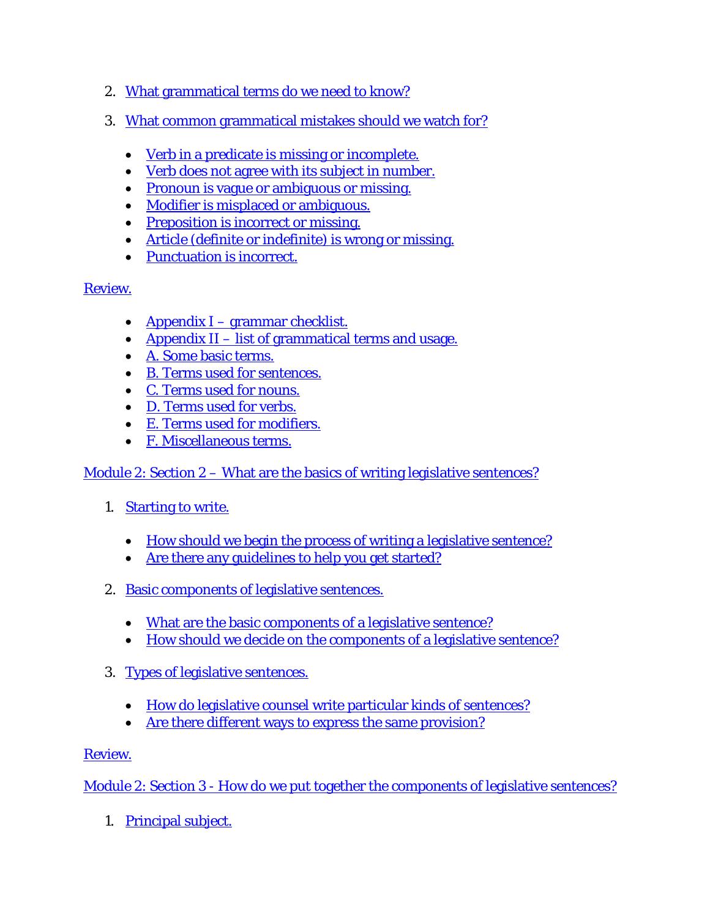- 2. [What grammatical terms do we need to know?](http://ocw.lms.athabascau.ca/mod/book/view.php?id=2336&chapterid=1959)
- 3. [What common grammatical mistakes should we watch for?](http://ocw.lms.athabascau.ca/mod/book/view.php?id=2336&chapterid=1968)
	- [Verb in a predicate is missing or incomplete.](http://ocw.lms.athabascau.ca/mod/book/view.php?id=2336&chapterid=1962)
	- [Verb does not agree with its subject in number.](http://ocw.lms.athabascau.ca/mod/book/view.php?id=2336&chapterid=1969)
	- [Pronoun is vague or ambiguous or missing.](http://ocw.lms.athabascau.ca/mod/book/view.php?id=2336&chapterid=1978)
	- [Modifier is misplaced or ambiguous.](http://ocw.lms.athabascau.ca/mod/book/view.php?id=2336&chapterid=1975)
	- [Preposition is incorrect or missing.](http://ocw.lms.athabascau.ca/mod/book/view.php?id=2336&chapterid=1976)
	- [Article \(definite or indefinite\) is wrong or missing.](http://ocw.lms.athabascau.ca/mod/book/view.php?id=2336&chapterid=1963)
	- [Punctuation is incorrect.](http://ocw.lms.athabascau.ca/mod/book/view.php?id=2336&chapterid=1971)

- Appendix I [grammar checklist.](http://ocw.lms.athabascau.ca/mod/book/view.php?id=2336&chapterid=1970)
- Appendix II [list of grammatical terms and usage.](http://ocw.lms.athabascau.ca/mod/book/view.php?id=2336&chapterid=1965)
- [A. Some basic terms.](http://ocw.lms.athabascau.ca/mod/book/view.php?id=2336&chapterid=1966)
- [B. Terms used for sentences.](http://ocw.lms.athabascau.ca/mod/book/view.php?id=2336&chapterid=1967)
- [C. Terms used for nouns.](http://ocw.lms.athabascau.ca/mod/book/view.php?id=2336&chapterid=1973)
- [D. Terms used for verbs.](http://ocw.lms.athabascau.ca/mod/book/view.php?id=2336&chapterid=1977)
- [E. Terms used for modifiers.](http://ocw.lms.athabascau.ca/mod/book/view.php?id=2336&chapterid=1972)
- [F. Miscellaneous terms.](http://ocw.lms.athabascau.ca/mod/book/view.php?id=2336&chapterid=1974)

Module 2: Section 2 – [What are the basics of writing legislative sentences?](http://ocw.lms.athabascau.ca/mod/book/view.php?id=2339)

- 1. [Starting to write.](http://ocw.lms.athabascau.ca/mod/book/view.php?id=2339&chapterid=1981)
	- [How should we begin the process of writing a legislative sentence?](http://ocw.lms.athabascau.ca/mod/book/view.php?id=2339&chapterid=1986)
	- [Are there any guidelines to help you](http://ocw.lms.athabascau.ca/mod/book/view.php?id=2339&chapterid=1982) get started?
- 2. [Basic components of legislative sentences.](http://ocw.lms.athabascau.ca/mod/book/view.php?id=2339&chapterid=1988)
	- [What are the basic components of a legislative sentence?](http://ocw.lms.athabascau.ca/mod/book/view.php?id=2339&chapterid=1987)
	- [How should we decide on the components of a legislative sentence?](http://ocw.lms.athabascau.ca/mod/book/view.php?id=2339&chapterid=1980)
- 3. [Types of legislative](http://ocw.lms.athabascau.ca/mod/book/view.php?id=2339&chapterid=1989) sentences.
	- [How do legislative counsel write particular kinds](http://ocw.lms.athabascau.ca/mod/book/view.php?id=2339&chapterid=1983) of sentences?
	- [Are there different ways to express the same provision?](http://ocw.lms.athabascau.ca/mod/book/view.php?id=2339&chapterid=1979)

### [Review.](http://ocw.lms.athabascau.ca/mod/book/view.php?id=2339&chapterid=1984)

Module 2: Section 3 - [How do we put together the components of legislative sentences?](http://ocw.lms.athabascau.ca/mod/book/view.php?id=2342)

1. [Principal subject.](http://ocw.lms.athabascau.ca/mod/book/view.php?id=2342&chapterid=1991)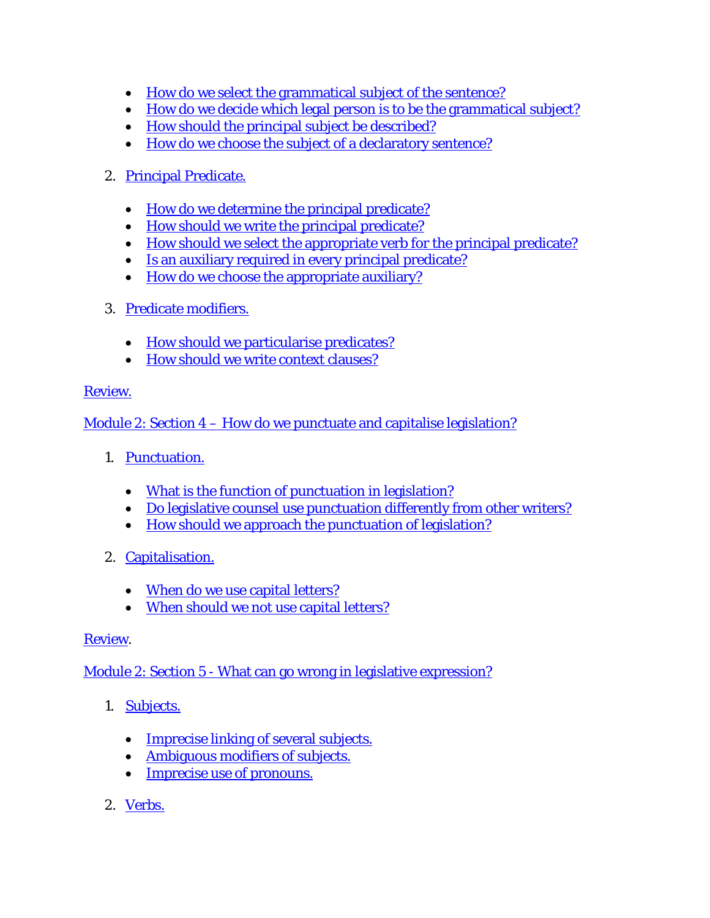- [How do we select the grammatical subject of the sentence?](http://ocw.lms.athabascau.ca/mod/book/view.php?id=2342&chapterid=2002)
- [How do we decide which legal person is to be the grammatical subject?](http://ocw.lms.athabascau.ca/mod/book/view.php?id=2342&chapterid=1992)
- [How should the principal subject be described?](http://ocw.lms.athabascau.ca/mod/book/view.php?id=2342&chapterid=1993)
- [How do we choose the subject of a declaratory sentence?](http://ocw.lms.athabascau.ca/mod/book/view.php?id=2342&chapterid=1994)

# 2. [Principal Predicate.](http://ocw.lms.athabascau.ca/mod/book/view.php?id=2342&chapterid=2005)

- How do we determine [the principal predicate?](http://ocw.lms.athabascau.ca/mod/book/view.php?id=2342&chapterid=2003)
- [How should we write the principal predicate?](http://ocw.lms.athabascau.ca/mod/book/view.php?id=2342&chapterid=1995)
- [How should we select the appropriate verb for the principal predicate?](http://ocw.lms.athabascau.ca/mod/book/view.php?id=2342&chapterid=1996)
- Is [an auxiliary required in every principal predicate?](http://ocw.lms.athabascau.ca/mod/book/view.php?id=2342&chapterid=1997)
- [How do we choose the appropriate auxiliary?](http://ocw.lms.athabascau.ca/mod/book/view.php?id=2342&chapterid=1998)
- 3. [Predicate modifiers.](http://ocw.lms.athabascau.ca/mod/book/view.php?id=2342&chapterid=2004)
	- [How should we particularise predicates?](http://ocw.lms.athabascau.ca/mod/book/view.php?id=2342&chapterid=1999)
	- [How should we write context clauses?](http://ocw.lms.athabascau.ca/mod/book/view.php?id=2342&chapterid=2000)

# [Review.](http://ocw.lms.athabascau.ca/mod/book/view.php?id=2342&chapterid=2001)

Module 2: Section 4 – [How do we punctuate and capitalise legislation?](http://ocw.lms.athabascau.ca/mod/book/view.php?id=2354)

- 1. [Punctuation.](http://ocw.lms.athabascau.ca/mod/book/view.php?id=2354&chapterid=2007)
	- [What is the function of punctuation in legislation?](http://ocw.lms.athabascau.ca/mod/book/view.php?id=2354&chapterid=2012)
	- [Do legislative counsel use punctuation differently from other writers?](http://ocw.lms.athabascau.ca/mod/book/view.php?id=2354&chapterid=2006)
	- [How should we approach the punctuation of legislation?](http://ocw.lms.athabascau.ca/mod/book/view.php?id=2354&chapterid=2008)
- 2. [Capitalisation.](http://ocw.lms.athabascau.ca/mod/book/view.php?id=2354&chapterid=2009)
	- [When do we use capital letters?](http://ocw.lms.athabascau.ca/mod/book/view.php?id=2354&chapterid=2010)
	- [When should we not use capital letters?](http://ocw.lms.athabascau.ca/mod/book/view.php?id=2354&chapterid=2014)

# [Review.](http://ocw.lms.athabascau.ca/mod/book/view.php?id=2354&chapterid=2011)

Module 2: Section 5 - [What can go wrong in legislative expression?](http://ocw.lms.athabascau.ca/mod/book/view.php?id=2359)

- 1. **[Subjects.](http://ocw.lms.athabascau.ca/mod/book/view.php?id=2359&chapterid=2016)** 
	- Imprecise linking [of several subjects.](http://ocw.lms.athabascau.ca/mod/book/view.php?id=2359&chapterid=2017)
	- [Ambiguous modifiers of subjects.](http://ocw.lms.athabascau.ca/mod/book/view.php?id=2359&chapterid=2018)
	- [Imprecise use of pronouns.](http://ocw.lms.athabascau.ca/mod/book/view.php?id=2359&chapterid=2019)
- 2. [Verbs.](http://ocw.lms.athabascau.ca/mod/book/view.php?id=2359&chapterid=2020)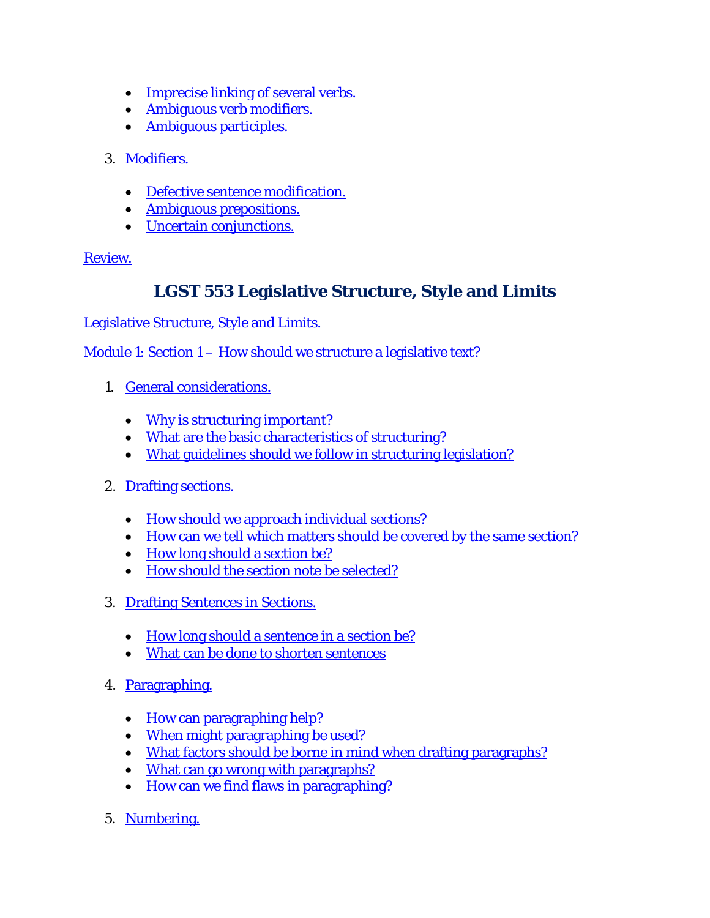- [Imprecise linking](http://ocw.lms.athabascau.ca/mod/book/view.php?id=2359&chapterid=2021) of several verbs.
- [Ambiguous verb modifiers.](http://ocw.lms.athabascau.ca/mod/book/view.php?id=2359&chapterid=2022)
- [Ambiguous participles.](http://ocw.lms.athabascau.ca/mod/book/view.php?id=2359&chapterid=2023)
- 3. [Modifiers.](http://ocw.lms.athabascau.ca/mod/book/view.php?id=2359&chapterid=2024)
	- [Defective sentence modification.](http://ocw.lms.athabascau.ca/mod/book/view.php?id=2359&chapterid=2025)
	- [Ambiguous prepositions.](http://ocw.lms.athabascau.ca/mod/book/view.php?id=2359&chapterid=2026)
	- [Uncertain conjunctions.](http://ocw.lms.athabascau.ca/mod/book/view.php?id=2359&chapterid=2027)

# **LGST 553 Legislative Structure, Style and Limits**

[Legislative Structure, Style and Limits.](http://ocw.lms.athabascau.ca/course/view.php?id=65)

Module 1: Section 1 – [How should we structure a legislative text?](http://ocw.lms.athabascau.ca/mod/book/view.php?id=2429)

- 1. [General considerations.](http://ocw.lms.athabascau.ca/mod/book/view.php?id=2429&chapterid=2152)
	- [Why is structuring important?](http://ocw.lms.athabascau.ca/mod/book/view.php?id=2429&chapterid=2153)
	- [What are the basic characteristics of structuring?](http://ocw.lms.athabascau.ca/mod/book/view.php?id=2429&chapterid=2154)
	- [What guidelines should we follow in structuring legislation?](http://ocw.lms.athabascau.ca/mod/book/view.php?id=2429&chapterid=2194)
- 2. [Drafting sections.](http://ocw.lms.athabascau.ca/mod/book/view.php?id=2429&chapterid=2155)
	- [How should we approach individual sections?](http://ocw.lms.athabascau.ca/mod/book/view.php?id=2429&chapterid=2156)
	- [How can we tell which matters should be covered by the same section?](http://ocw.lms.athabascau.ca/mod/book/view.php?id=2429&chapterid=2157)
	- [How long should a section be?](http://ocw.lms.athabascau.ca/mod/book/view.php?id=2429&chapterid=2158)
	- [How should the section note be selected?](http://ocw.lms.athabascau.ca/mod/book/view.php?id=2429&chapterid=2159)
- 3. [Drafting Sentences in Sections.](http://ocw.lms.athabascau.ca/mod/book/view.php?id=2429&chapterid=2160)
	- [How long should a sentence in a section be?](http://ocw.lms.athabascau.ca/mod/book/view.php?id=2429&chapterid=2161)
	- [What can be done to shorten sentences](http://ocw.lms.athabascau.ca/mod/book/view.php?id=2429&chapterid=2162)
- 4. [Paragraphing.](http://ocw.lms.athabascau.ca/mod/book/view.php?id=2429&chapterid=2163)
	- [How can paragraphing help?](http://ocw.lms.athabascau.ca/mod/book/view.php?id=2429&chapterid=2164)
	- [When might paragraphing be used?](http://ocw.lms.athabascau.ca/mod/book/view.php?id=2429&chapterid=2165)
	- [What factors should be borne in mind when drafting paragraphs?](http://ocw.lms.athabascau.ca/mod/book/view.php?id=2429&chapterid=2166)
	- [What can go wrong with paragraphs?](http://ocw.lms.athabascau.ca/mod/book/view.php?id=2429&chapterid=2167)
	- [How can we find flaws in paragraphing?](http://ocw.lms.athabascau.ca/mod/book/view.php?id=2429&chapterid=2168)
- 5. [Numbering.](http://ocw.lms.athabascau.ca/mod/book/view.php?id=2429&chapterid=2169)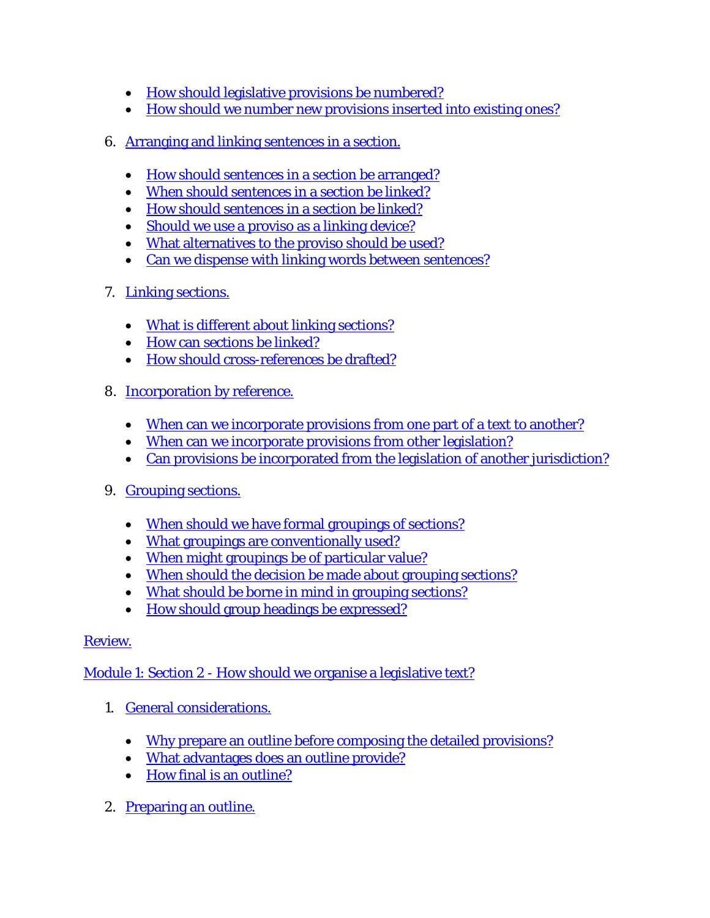- [How should legislative provisions be numbered?](http://ocw.lms.athabascau.ca/mod/book/view.php?id=2429&chapterid=2170)
- [How should we number new provisions inserted into existing ones?](http://ocw.lms.athabascau.ca/mod/book/view.php?id=2429&chapterid=2193)
- 6. Arranging and linking [sentences in a section.](http://ocw.lms.athabascau.ca/mod/book/view.php?id=2429&chapterid=2171)
	- [How should sentences in a section be arranged?](http://ocw.lms.athabascau.ca/mod/book/view.php?id=2429&chapterid=2172)
	- [When should sentences in a section be linked?](http://ocw.lms.athabascau.ca/mod/book/view.php?id=2429&chapterid=2173)
	- [How should sentences in a section be linked?](http://ocw.lms.athabascau.ca/mod/book/view.php?id=2429&chapterid=2174)
	- [Should we use a proviso as a linking device?](http://ocw.lms.athabascau.ca/mod/book/view.php?id=2429&chapterid=2175)
	- [What alternatives to the proviso should be used?](http://ocw.lms.athabascau.ca/mod/book/view.php?id=2429&chapterid=2176)
	- [Can we dispense with linking words between sentences?](http://ocw.lms.athabascau.ca/mod/book/view.php?id=2429&chapterid=2177)
- 7. [Linking sections.](http://ocw.lms.athabascau.ca/mod/book/view.php?id=2429&chapterid=2178)
	- What is [different about linking sections?](http://ocw.lms.athabascau.ca/mod/book/view.php?id=2429&chapterid=2179)
	- [How can sections be linked?](http://ocw.lms.athabascau.ca/mod/book/view.php?id=2429&chapterid=2180)
	- [How should cross-references be drafted?](http://ocw.lms.athabascau.ca/mod/book/view.php?id=2429&chapterid=2181)
- 8. [Incorporation by reference.](http://ocw.lms.athabascau.ca/mod/book/view.php?id=2429&chapterid=2182)
	- [When can we incorporate provisions from one part of a text to another?](http://ocw.lms.athabascau.ca/mod/book/view.php?id=2429&chapterid=2183)
	- [When can we incorporate provisions from other legislation?](http://ocw.lms.athabascau.ca/mod/book/view.php?id=2429&chapterid=2184)
	- [Can provisions be incorporated from the legislation of another jurisdiction?](http://ocw.lms.athabascau.ca/mod/book/view.php?id=2429&chapterid=2185)
- 9. [Grouping sections.](http://ocw.lms.athabascau.ca/mod/book/view.php?id=2429&chapterid=2186)
	- [When should we have formal groupings of sections?](http://ocw.lms.athabascau.ca/mod/book/view.php?id=2429&chapterid=2192)
	- [What groupings are conventionally used?](http://ocw.lms.athabascau.ca/mod/book/view.php?id=2429&chapterid=2187)
	- [When might groupings be of particular value?](http://ocw.lms.athabascau.ca/mod/book/view.php?id=2429&chapterid=2188)
	- [When should the decision be made about grouping sections?](http://ocw.lms.athabascau.ca/mod/book/view.php?id=2429&chapterid=2189)
	- [What should be borne in mind in grouping sections?](http://ocw.lms.athabascau.ca/mod/book/view.php?id=2429&chapterid=2190)
	- How should [group headings be expressed?](http://ocw.lms.athabascau.ca/mod/book/view.php?id=2429&chapterid=2195)

# Module 1: Section 2 - [How should we organise a legislative text?](http://ocw.lms.athabascau.ca/mod/book/view.php?id=2439)

- 1. [General considerations.](http://ocw.lms.athabascau.ca/mod/book/view.php?id=2439&chapterid=2197)
	- [Why prepare an outline before composing the detailed provisions?](http://ocw.lms.athabascau.ca/mod/book/view.php?id=2439&chapterid=2198)
	- [What advantages does an outline provide?](http://ocw.lms.athabascau.ca/mod/book/view.php?id=2439&chapterid=2199)
	- [How final is an outline?](http://ocw.lms.athabascau.ca/mod/book/view.php?id=2439&chapterid=2200)
- 2. [Preparing an outline.](http://ocw.lms.athabascau.ca/mod/book/view.php?id=2439&chapterid=2201)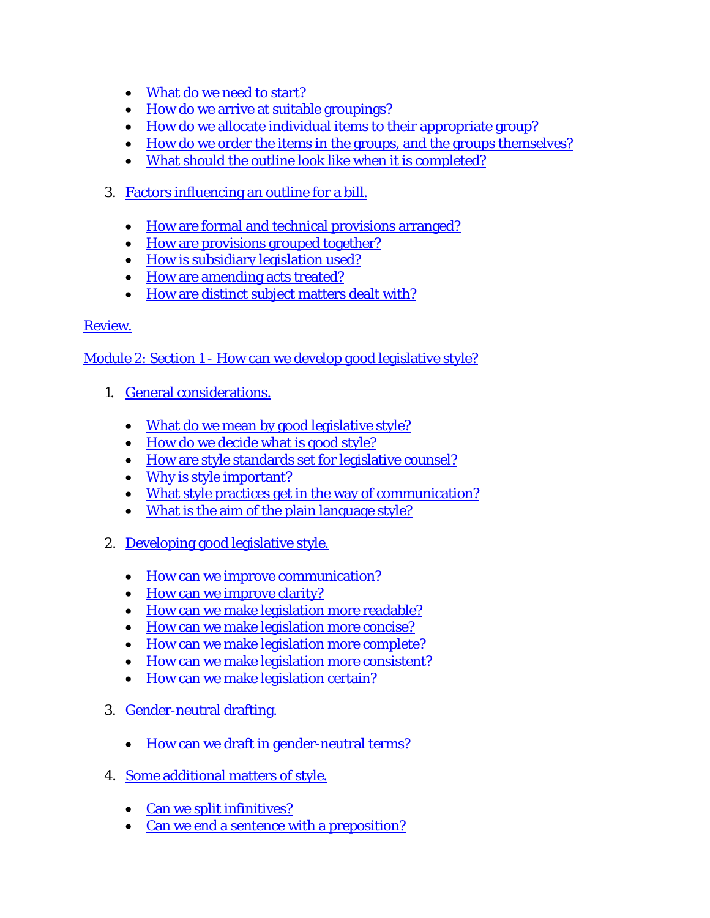- [What do we need to start?](http://ocw.lms.athabascau.ca/mod/book/view.php?id=2439&chapterid=2202)
- [How do we arrive at suitable groupings?](http://ocw.lms.athabascau.ca/mod/book/view.php?id=2439&chapterid=2203)
- [How do we allocate individual items to their appropriate group?](http://ocw.lms.athabascau.ca/mod/book/view.php?id=2439&chapterid=2204)
- [How do we order the items in the groups, and the groups themselves?](http://ocw.lms.athabascau.ca/mod/book/view.php?id=2439&chapterid=2205)
- [What should the outline look like when](http://ocw.lms.athabascau.ca/mod/book/view.php?id=2439&chapterid=2212) it is completed?
- 3. [Factors influencing an outline for a bill.](http://ocw.lms.athabascau.ca/mod/book/view.php?id=2439&chapterid=2206)
	- [How are formal and technical provisions arranged?](http://ocw.lms.athabascau.ca/mod/book/view.php?id=2439&chapterid=2207)
	- [How are provisions grouped together?](http://ocw.lms.athabascau.ca/mod/book/view.php?id=2439&chapterid=2208)
	- [How is subsidiary legislation used?](http://ocw.lms.athabascau.ca/mod/book/view.php?id=2439&chapterid=2209)
	- [How are amending acts treated?](http://ocw.lms.athabascau.ca/mod/book/view.php?id=2439&chapterid=2210)
	- [How are distinct subject matters dealt with?](http://ocw.lms.athabascau.ca/mod/book/view.php?id=2439&chapterid=2213)

Module 2: Section 1 - [How can we develop good legislative style?](http://ocw.lms.athabascau.ca/mod/book/view.php?id=2444)

- 1. [General considerations.](http://ocw.lms.athabascau.ca/mod/book/view.php?id=2444&chapterid=2216)
	- [What do we mean by good legislative style?](http://ocw.lms.athabascau.ca/mod/book/view.php?id=2444&chapterid=2217)
	- [How do we decide what is good style?](http://ocw.lms.athabascau.ca/mod/book/view.php?id=2444&chapterid=2238)
	- [How are style standards set for legislative counsel?](http://ocw.lms.athabascau.ca/mod/book/view.php?id=2444&chapterid=2214)
	- [Why is style important?](http://ocw.lms.athabascau.ca/mod/book/view.php?id=2444&chapterid=2218)
	- [What style practices get in the way of communication?](http://ocw.lms.athabascau.ca/mod/book/view.php?id=2444&chapterid=2219)
	- [What is the aim of the plain language style?](http://ocw.lms.athabascau.ca/mod/book/view.php?id=2444&chapterid=2231)
- 2. [Developing good legislative style.](http://ocw.lms.athabascau.ca/mod/book/view.php?id=2444&chapterid=2220)
	- [How can we improve communication?](http://ocw.lms.athabascau.ca/mod/book/view.php?id=2444&chapterid=2221)
	- [How can we improve clarity?](http://ocw.lms.athabascau.ca/mod/book/view.php?id=2444&chapterid=2222)
	- [How can we make legislation more readable?](http://ocw.lms.athabascau.ca/mod/book/view.php?id=2444&chapterid=2223)
	- [How can we make legislation more concise?](http://ocw.lms.athabascau.ca/mod/book/view.php?id=2444&chapterid=2224)
	- [How can we make legislation more complete?](http://ocw.lms.athabascau.ca/mod/book/view.php?id=2444&chapterid=2225)
	- [How can we make legislation more consistent?](http://ocw.lms.athabascau.ca/mod/book/view.php?id=2444&chapterid=2226)
	- [How can we make legislation certain?](http://ocw.lms.athabascau.ca/mod/book/view.php?id=2444&chapterid=2227)
- 3. [Gender-neutral drafting.](http://ocw.lms.athabascau.ca/mod/book/view.php?id=2444&chapterid=2232)
	- [How can we draft in gender-neutral terms?](http://ocw.lms.athabascau.ca/mod/book/view.php?id=2444&chapterid=2228)
- 4. [Some additional matters of style.](http://ocw.lms.athabascau.ca/mod/book/view.php?id=2444&chapterid=2229)
	- [Can we split infinitives?](http://ocw.lms.athabascau.ca/mod/book/view.php?id=2444&chapterid=2233)
	- [Can we end a sentence with a preposition?](http://ocw.lms.athabascau.ca/mod/book/view.php?id=2444&chapterid=2230)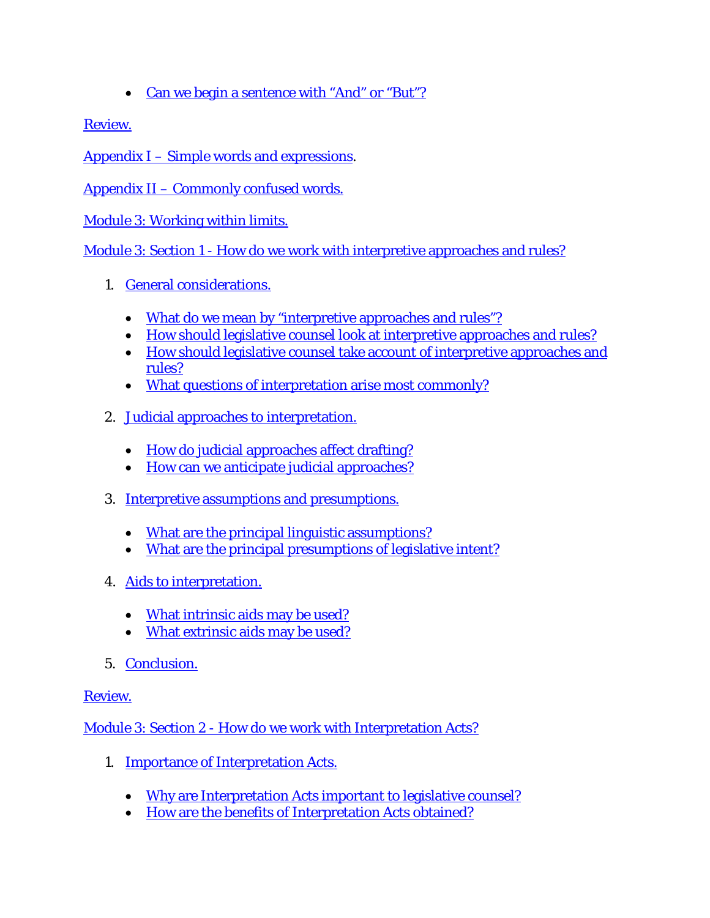• [Can we begin a sentence with "And" or "But"?](http://ocw.lms.athabascau.ca/mod/book/view.php?id=2444&chapterid=2234)

[Review.](http://ocw.lms.athabascau.ca/mod/book/view.php?id=2444&chapterid=2235)

Appendix I – [Simple words and expressions.](http://ocw.lms.athabascau.ca/mod/book/view.php?id=2444&chapterid=2236)

Appendix II – [Commonly confused words.](http://ocw.lms.athabascau.ca/mod/book/view.php?id=2444&chapterid=2237)

[Module 3: Working within limits.](http://ocw.lms.athabascau.ca/mod/page/view.php?id=2455)

Module 3: Section 1 - [How do we work with interpretive approaches and rules?](http://ocw.lms.athabascau.ca/mod/book/view.php?id=2456)

- 1. [General considerations.](http://ocw.lms.athabascau.ca/mod/book/view.php?id=2456&chapterid=2240)
	- [What do we mean by "interpretive approaches and rules"?](http://ocw.lms.athabascau.ca/mod/book/view.php?id=2456&chapterid=2241)
	- [How should legislative counsel look at interpretive approaches and rules?](http://ocw.lms.athabascau.ca/mod/book/view.php?id=2456&chapterid=2242)
	- [How should legislative counsel take account of interpretive approaches and](http://ocw.lms.athabascau.ca/mod/book/view.php?id=2456&chapterid=2243)  [rules?](http://ocw.lms.athabascau.ca/mod/book/view.php?id=2456&chapterid=2243)
	- [What questions of interpretation arise most commonly?](http://ocw.lms.athabascau.ca/mod/book/view.php?id=2456&chapterid=2252)
- 2. [Judicial approaches to interpretation.](http://ocw.lms.athabascau.ca/mod/book/view.php?id=2456&chapterid=2244)
	- [How do judicial approaches affect drafting?](http://ocw.lms.athabascau.ca/mod/book/view.php?id=2456&chapterid=2245)
	- [How can we anticipate judicial approaches?](http://ocw.lms.athabascau.ca/mod/book/view.php?id=2456&chapterid=2254)
- 3. [Interpretive assumptions and presumptions.](http://ocw.lms.athabascau.ca/mod/book/view.php?id=2456&chapterid=2251)
	- [What are the principal linguistic assumptions?](http://ocw.lms.athabascau.ca/mod/book/view.php?id=2456&chapterid=2246)
	- [What are the principal presumptions of legislative intent?](http://ocw.lms.athabascau.ca/mod/book/view.php?id=2456&chapterid=2247)
- 4. [Aids to interpretation.](http://ocw.lms.athabascau.ca/mod/book/view.php?id=2456&chapterid=2248)
	- [What intrinsic aids may be used?](http://ocw.lms.athabascau.ca/mod/book/view.php?id=2456&chapterid=2255)
	- [What extrinsic aids may be used?](http://ocw.lms.athabascau.ca/mod/book/view.php?id=2456&chapterid=2249)
- 5. [Conclusion.](http://ocw.lms.athabascau.ca/mod/book/view.php?id=2456&chapterid=2250)

[Review.](http://ocw.lms.athabascau.ca/mod/book/view.php?id=2456&chapterid=2253)

Module 3: Section 2 - [How do we work with Interpretation Acts?](http://ocw.lms.athabascau.ca/mod/book/view.php?id=2460&chapterid=2256)

- 1. [Importance of Interpretation Acts.](http://ocw.lms.athabascau.ca/mod/book/view.php?id=2460&chapterid=2257)
	- [Why are Interpretation Acts important to legislative counsel?](http://ocw.lms.athabascau.ca/mod/book/view.php?id=2460&chapterid=2258)
	- [How are the benefits of Interpretation Acts obtained?](http://ocw.lms.athabascau.ca/mod/book/view.php?id=2460&chapterid=2259)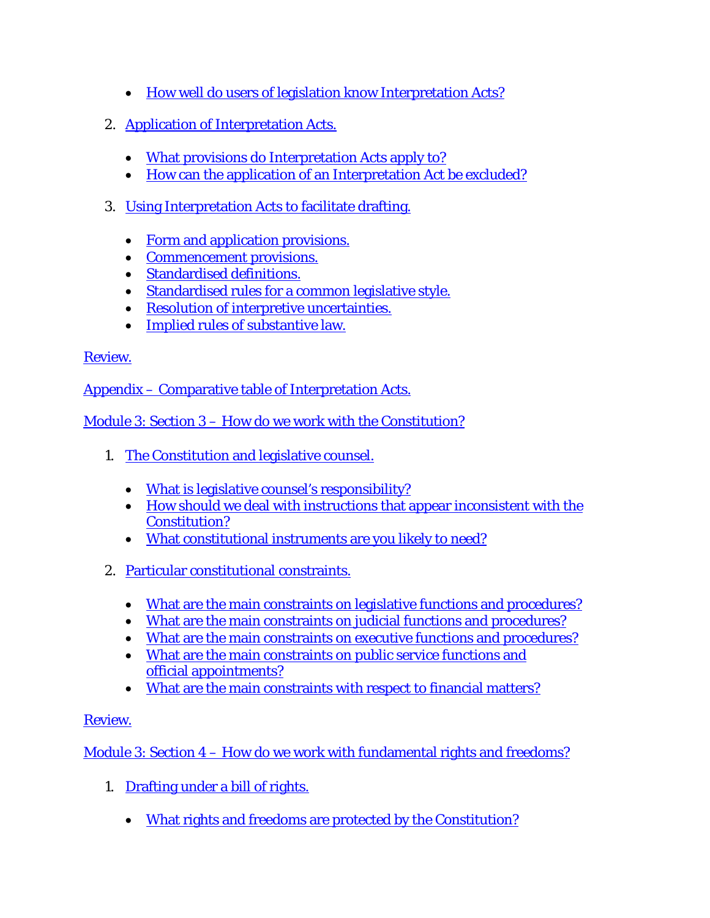- [How well do users of legislation know Interpretation Acts?](http://ocw.lms.athabascau.ca/mod/book/view.php?id=2460&chapterid=2271)
- 2. [Application of Interpretation Acts.](http://ocw.lms.athabascau.ca/mod/book/view.php?id=2460&chapterid=2260)
	- [What provisions do Interpretation Acts apply to?](http://ocw.lms.athabascau.ca/mod/book/view.php?id=2460&chapterid=2261)
	- [How can the application of an Interpretation Act be excluded?](http://ocw.lms.athabascau.ca/mod/book/view.php?id=2460&chapterid=2262)
- 3. [Using Interpretation Acts to facilitate drafting.](http://ocw.lms.athabascau.ca/mod/book/view.php?id=2460&chapterid=2263)
	- [Form and application provisions.](http://ocw.lms.athabascau.ca/mod/book/view.php?id=2460&chapterid=2264)
	- [Commencement provisions.](http://ocw.lms.athabascau.ca/mod/book/view.php?id=2460&chapterid=2273)
	- [Standardised definitions.](http://ocw.lms.athabascau.ca/mod/book/view.php?id=2460&chapterid=2265)
	- [Standardised rules for a common legislative style.](http://ocw.lms.athabascau.ca/mod/book/view.php?id=2460&chapterid=2272)
	- [Resolution of interpretive uncertainties.](http://ocw.lms.athabascau.ca/mod/book/view.php?id=2460&chapterid=2266)
	- [Implied rules of substantive law.](http://ocw.lms.athabascau.ca/mod/book/view.php?id=2460&chapterid=2267)

Appendix – [Comparative table of Interpretation](http://ocw.lms.athabascau.ca/mod/book/view.php?id=2460&chapterid=2270) Acts.

Module 3: Section 3 – [How do we work with the Constitution?](http://ocw.lms.athabascau.ca/mod/book/view.php?id=2464)

- 1. [The Constitution and legislative](http://ocw.lms.athabascau.ca/mod/book/view.php?id=2464&chapterid=2275) counsel.
	- [What is legislative counsel's responsibility?](http://ocw.lms.athabascau.ca/mod/book/view.php?id=2464&chapterid=2276)
	- [How should we deal with instructions that appear inconsistent with the](http://ocw.lms.athabascau.ca/mod/book/view.php?id=2464&chapterid=2277)  [Constitution?](http://ocw.lms.athabascau.ca/mod/book/view.php?id=2464&chapterid=2277)
	- [What constitutional instruments are you likely to need?](http://ocw.lms.athabascau.ca/mod/book/view.php?id=2464&chapterid=2278)
- 2. [Particular constitutional constraints.](http://ocw.lms.athabascau.ca/mod/book/view.php?id=2464&chapterid=2280)
	- [What are the main constraints on legislative functions and procedures?](http://ocw.lms.athabascau.ca/mod/book/view.php?id=2464&chapterid=2281)
	- [What are the main constraints on judicial functions and procedures?](http://ocw.lms.athabascau.ca/mod/book/view.php?id=2464&chapterid=2282)
	- [What are the main constraints on executive functions and procedures?](http://ocw.lms.athabascau.ca/mod/book/view.php?id=2464&chapterid=2283)
	- [What are the main constraints on public service functions and](http://ocw.lms.athabascau.ca/mod/book/view.php?id=2464&chapterid=2286)  official [appointments?](http://ocw.lms.athabascau.ca/mod/book/view.php?id=2464&chapterid=2286)
	- [What are the main constraints with respect to financial matters?](http://ocw.lms.athabascau.ca/mod/book/view.php?id=2464&chapterid=2284)

# [Review.](http://ocw.lms.athabascau.ca/mod/book/view.php?id=2464&chapterid=2285)

Module 3: Section 4 – [How do we work with fundamental rights and freedoms?](http://ocw.lms.athabascau.ca/mod/book/view.php?id=2466)

- 1. [Drafting under a bill of rights.](http://ocw.lms.athabascau.ca/mod/book/view.php?id=2466&chapterid=2289)
	- [What rights and freedoms are protected by the Constitution?](http://ocw.lms.athabascau.ca/mod/book/view.php?id=2466&chapterid=2290)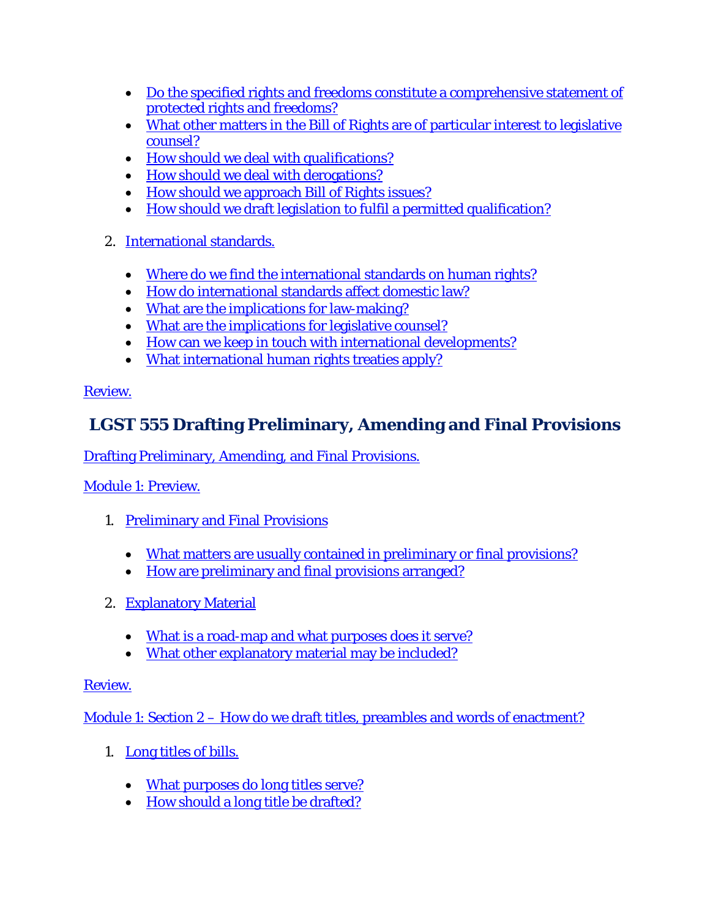- [Do the specified rights and freedoms constitute a comprehensive statement of](http://ocw.lms.athabascau.ca/mod/book/view.php?id=2466&chapterid=2302)  [protected rights and freedoms?](http://ocw.lms.athabascau.ca/mod/book/view.php?id=2466&chapterid=2302)
- [What other matters in the Bill of Rights are of particular interest to legislative](http://ocw.lms.athabascau.ca/mod/book/view.php?id=2466&chapterid=2291)  [counsel?](http://ocw.lms.athabascau.ca/mod/book/view.php?id=2466&chapterid=2291)
- [How should we deal with qualifications?](http://ocw.lms.athabascau.ca/mod/book/view.php?id=2466&chapterid=2292)
- [How should we deal with derogations?](http://ocw.lms.athabascau.ca/mod/book/view.php?id=2466&chapterid=2293)
- [How should we approach Bill of Rights issues?](http://ocw.lms.athabascau.ca/mod/book/view.php?id=2466&chapterid=2294)
- [How should we draft legislation to fulfil a permitted qualification?](http://ocw.lms.athabascau.ca/mod/book/view.php?id=2466&chapterid=2295)
- 2. [International standards.](http://ocw.lms.athabascau.ca/mod/book/view.php?id=2466&chapterid=2296)
	- [Where do we find the international standards on human rights?](http://ocw.lms.athabascau.ca/mod/book/view.php?id=2466&chapterid=2303)
	- [How do international standards affect domestic law?](http://ocw.lms.athabascau.ca/mod/book/view.php?id=2466&chapterid=2297)
	- [What are the implications for law-making?](http://ocw.lms.athabascau.ca/mod/book/view.php?id=2466&chapterid=2298)
	- [What are the implications for legislative counsel?](http://ocw.lms.athabascau.ca/mod/book/view.php?id=2466&chapterid=2299)
	- [How can we keep in touch with international developments?](http://ocw.lms.athabascau.ca/mod/book/view.php?id=2466&chapterid=2287)
	- [What international human rights treaties apply?](http://ocw.lms.athabascau.ca/mod/book/view.php?id=2466&chapterid=2300)

# **LGST 555 Drafting Preliminary, Amending and Final Provisions**

[Drafting Preliminary, Amending, and Final Provisions.](http://ocw.lms.athabascau.ca/course/view.php?id=61)

[Module 1: Preview.](http://ocw.lms.athabascau.ca/mod/page/view.php?id=2268)

- 1. [Preliminary and Final Provisions](http://ocw.lms.athabascau.ca/mod/book/view.php?id=2269&chapterid=1735)
	- [What matters are usually contained in preliminary or final provisions?](http://ocw.lms.athabascau.ca/mod/book/view.php?id=2269&chapterid=1742)
	- [How are preliminary and final provisions arranged?](http://ocw.lms.athabascau.ca/mod/book/view.php?id=2269&chapterid=1736)
- 2. [Explanatory Material](http://ocw.lms.athabascau.ca/mod/book/view.php?id=2269&chapterid=1737)
	- [What is a road-map and what purposes does it serve?](http://ocw.lms.athabascau.ca/mod/book/view.php?id=2269&chapterid=1738)
	- [What other explanatory material may be included?](http://ocw.lms.athabascau.ca/mod/book/view.php?id=2269&chapterid=1739)

# [Review.](http://ocw.lms.athabascau.ca/mod/book/view.php?id=2269&chapterid=1740)

Module 1: Section 2 – [How do we draft titles, preambles and words of enactment?](http://ocw.lms.athabascau.ca/mod/book/view.php?id=2272)

- 1. [Long titles of bills.](http://ocw.lms.athabascau.ca/mod/book/view.php?id=2270&chapterid=1744)
	- [What purposes do long titles serve?](http://ocw.lms.athabascau.ca/mod/book/view.php?id=2270&chapterid=1745)
	- [How should a long title be drafted?](http://ocw.lms.athabascau.ca/mod/book/view.php?id=2270&chapterid=1746)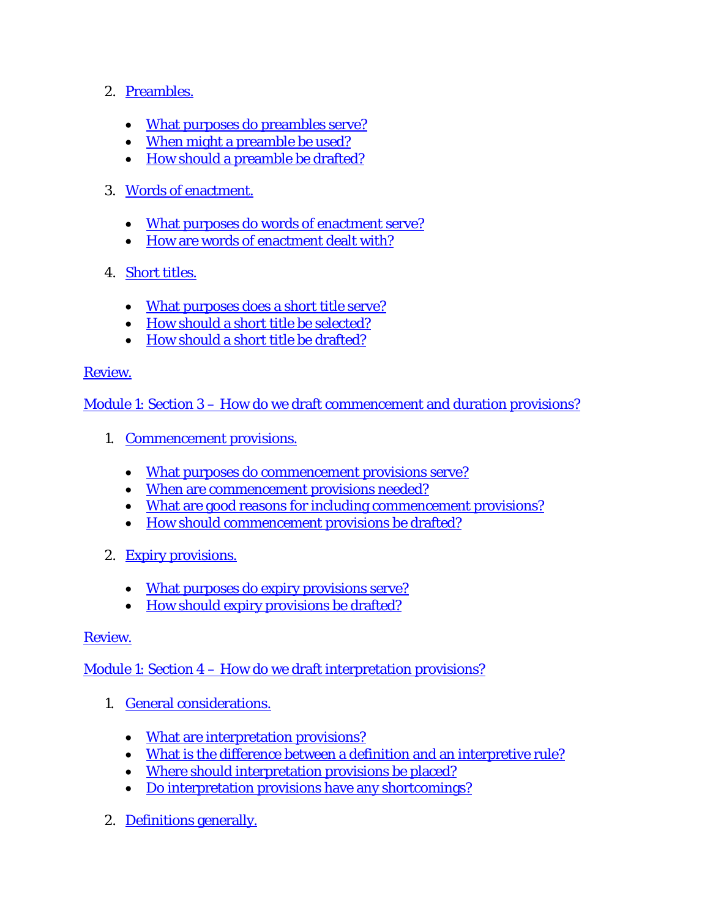- 2. [Preambles.](http://ocw.lms.athabascau.ca/mod/book/view.php?id=2270&chapterid=1747)
	- [What purposes do preambles serve?](http://ocw.lms.athabascau.ca/mod/book/view.php?id=2270&chapterid=1748)
	- [When might a preamble be used?](http://ocw.lms.athabascau.ca/mod/book/view.php?id=2270&chapterid=1749)
	- [How should a preamble be drafted?](http://ocw.lms.athabascau.ca/mod/book/view.php?id=2270&chapterid=1750)
- 3. [Words of enactment.](http://ocw.lms.athabascau.ca/mod/book/view.php?id=2270&chapterid=1751)
	- [What purposes do words of enactment serve?](http://ocw.lms.athabascau.ca/mod/book/view.php?id=2270&chapterid=1743)
	- [How are words of enactment dealt with?](http://ocw.lms.athabascau.ca/mod/book/view.php?id=2270&chapterid=1752)
- 4. [Short titles.](http://ocw.lms.athabascau.ca/mod/book/view.php?id=2270&chapterid=1753)
	- [What purposes does a short title serve?](http://ocw.lms.athabascau.ca/mod/book/view.php?id=2270&chapterid=1754)
	- [How should a short title be selected?](http://ocw.lms.athabascau.ca/mod/book/view.php?id=2270&chapterid=1755)
	- [How should a short title be drafted?](http://ocw.lms.athabascau.ca/mod/book/view.php?id=2270&chapterid=1756)

Module 1: Section 3 – [How do we draft commencement and duration provisions?](http://ocw.lms.athabascau.ca/mod/book/view.php?id=2272&chapterid=1759)

- 1. [Commencement provisions.](http://ocw.lms.athabascau.ca/mod/book/view.php?id=2272&chapterid=1760)
	- [What purposes do commencement provisions serve?](http://ocw.lms.athabascau.ca/mod/book/view.php?id=2272&chapterid=1761)
	- [When are commencement provisions needed?](http://ocw.lms.athabascau.ca/mod/book/view.php?id=2272&chapterid=1762)
	- [What are good reasons for including commencement provisions?](http://ocw.lms.athabascau.ca/mod/book/view.php?id=2272&chapterid=1763)
	- [How should commencement provisions be drafted?](http://ocw.lms.athabascau.ca/mod/book/view.php?id=2272&chapterid=1764)
- 2. [Expiry provisions.](http://ocw.lms.athabascau.ca/mod/book/view.php?id=2272&chapterid=1765)
	- [What purposes do expiry provisions serve?](http://ocw.lms.athabascau.ca/mod/book/view.php?id=2272&chapterid=1766)
	- [How should expiry provisions be drafted?](http://ocw.lms.athabascau.ca/mod/book/view.php?id=2272&chapterid=1767)

### [Review.](http://ocw.lms.athabascau.ca/mod/book/view.php?id=2272&chapterid=1768)

Module 1: Section 4 – [How do we draft interpretation provisions?](http://ocw.lms.athabascau.ca/mod/book/view.php?id=2276)

- 1. [General considerations.](http://ocw.lms.athabascau.ca/mod/book/view.php?id=2276&chapterid=1774)
	- [What are interpretation provisions?](http://ocw.lms.athabascau.ca/mod/book/view.php?id=2276&chapterid=1775)
	- [What is the difference between a definition and an interpretive rule?](http://ocw.lms.athabascau.ca/mod/book/view.php?id=2276&chapterid=1776)
	- [Where should interpretation provisions be placed?](http://ocw.lms.athabascau.ca/mod/book/view.php?id=2276&chapterid=1777)
	- [Do interpretation provisions have any shortcomings?](http://ocw.lms.athabascau.ca/mod/book/view.php?id=2276&chapterid=1772)
- 2. [Definitions generally.](http://ocw.lms.athabascau.ca/mod/book/view.php?id=2276&chapterid=1797)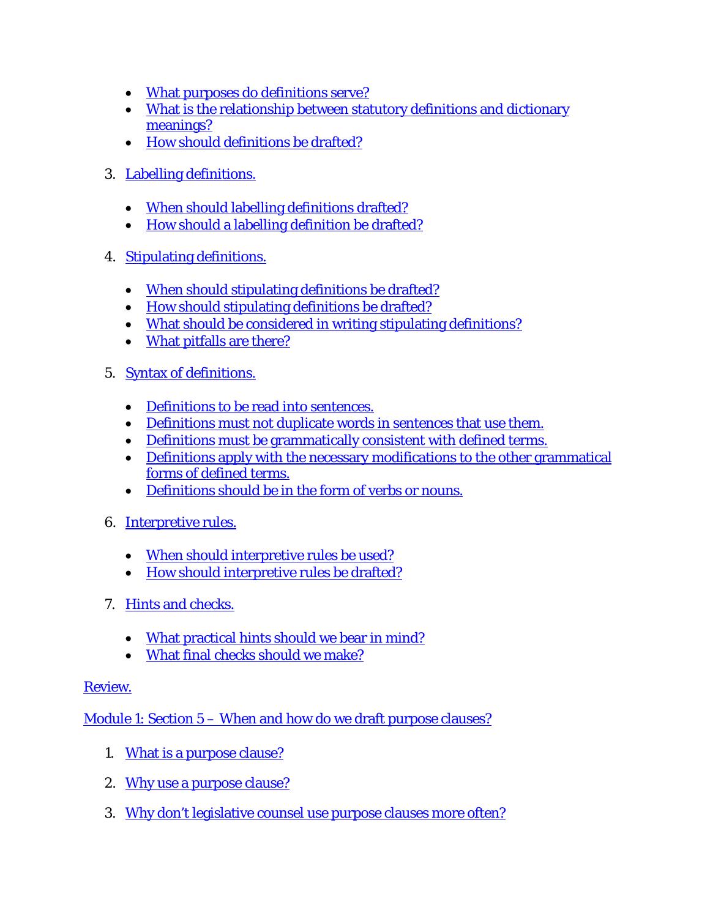- [What purposes do definitions serve?](http://ocw.lms.athabascau.ca/mod/book/view.php?id=2276&chapterid=1778)
- [What is the relationship between statutory definitions and dictionary](http://ocw.lms.athabascau.ca/mod/book/view.php?id=2276&chapterid=1779)  [meanings?](http://ocw.lms.athabascau.ca/mod/book/view.php?id=2276&chapterid=1779)
- [How should definitions be drafted?](http://ocw.lms.athabascau.ca/mod/book/view.php?id=2276&chapterid=1780)
- 3. [Labelling definitions.](http://ocw.lms.athabascau.ca/mod/book/view.php?id=2276&chapterid=1781)
	- [When should labelling definitions drafted?](http://ocw.lms.athabascau.ca/mod/book/view.php?id=2276&chapterid=1782)
	- [How should a labelling definition be drafted?](http://ocw.lms.athabascau.ca/mod/book/view.php?id=2276&chapterid=1783)
- 4. [Stipulating definitions.](http://ocw.lms.athabascau.ca/mod/book/view.php?id=2276&chapterid=1784)
	- [When should stipulating definitions be drafted?](http://ocw.lms.athabascau.ca/mod/book/view.php?id=2276&chapterid=1785)
	- [How should stipulating definitions be drafted?](http://ocw.lms.athabascau.ca/mod/book/view.php?id=2276&chapterid=1771)
	- [What should be considered in writing stipulating definitions?](http://ocw.lms.athabascau.ca/mod/book/view.php?id=2276&chapterid=1786)
	- [What pitfalls are there?](http://ocw.lms.athabascau.ca/mod/book/view.php?id=2276&chapterid=1787)
- 5. [Syntax of definitions.](http://ocw.lms.athabascau.ca/mod/book/view.php?id=2276&chapterid=1788)
	- [Definitions to be read into sentences.](http://ocw.lms.athabascau.ca/mod/book/view.php?id=2276&chapterid=1770)
	- [Definitions must not duplicate words in sentences that use them.](http://ocw.lms.athabascau.ca/mod/book/view.php?id=2276&chapterid=1789)
	- [Definitions must be grammatically consistent with defined terms.](http://ocw.lms.athabascau.ca/mod/book/view.php?id=2276&chapterid=1769)
	- Definitions [apply with the necessary modifications to the other grammatical](http://ocw.lms.athabascau.ca/mod/book/view.php?id=2276&chapterid=1790)  [forms of defined terms.](http://ocw.lms.athabascau.ca/mod/book/view.php?id=2276&chapterid=1790)
	- [Definitions should be in the form of verbs or nouns.](http://ocw.lms.athabascau.ca/mod/book/view.php?id=2276&chapterid=1791)
- 6. [Interpretive rules.](http://ocw.lms.athabascau.ca/mod/book/view.php?id=2276&chapterid=1792)
	- [When should interpretive rules be used?](http://ocw.lms.athabascau.ca/mod/book/view.php?id=2276&chapterid=1799)
	- [How should interpretive rules be drafted?](http://ocw.lms.athabascau.ca/mod/book/view.php?id=2276&chapterid=1798)
- 7. [Hints and checks.](http://ocw.lms.athabascau.ca/mod/book/view.php?id=2276&chapterid=1793)
	- [What practical hints should we bear in mind?](http://ocw.lms.athabascau.ca/mod/book/view.php?id=2276&chapterid=1794)
	- [What final checks should we make?](http://ocw.lms.athabascau.ca/mod/book/view.php?id=2276&chapterid=1795)

Module 1: Section 5 – [When and how do we draft purpose clauses?](http://ocw.lms.athabascau.ca/mod/book/view.php?id=2290)

- 1. [What is a purpose clause?](http://ocw.lms.athabascau.ca/mod/book/view.php?id=2290&chapterid=1800)
- 2. [Why use a purpose clause?](http://ocw.lms.athabascau.ca/mod/book/view.php?id=2290&chapterid=1805)
- 3. [Why don't legislative counsel use purpose clauses more often?](http://ocw.lms.athabascau.ca/mod/book/view.php?id=2290&chapterid=1801)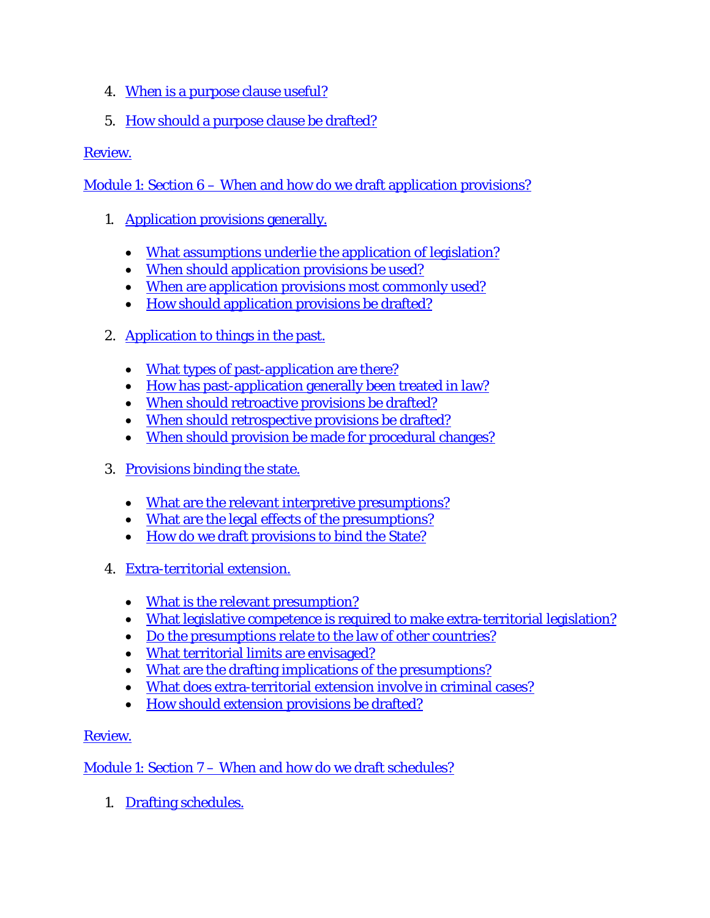- 4. [When is a purpose clause useful?](http://ocw.lms.athabascau.ca/mod/book/view.php?id=2290&chapterid=1806)
- 5. [How should a purpose clause be drafted?](http://ocw.lms.athabascau.ca/mod/book/view.php?id=2290&chapterid=1802)

Module 1: Section 6 – [When and how do we draft application provisions?](http://ocw.lms.athabascau.ca/mod/book/view.php?id=2292)

- 1. [Application provisions generally.](http://ocw.lms.athabascau.ca/mod/book/view.php?id=2292&chapterid=1808)
	- [What assumptions underlie the application of legislation?](http://ocw.lms.athabascau.ca/mod/book/view.php?id=2292&chapterid=1809)
	- [When should application provisions be used?](http://ocw.lms.athabascau.ca/mod/book/view.php?id=2292&chapterid=1810)
	- [When are application provisions most commonly used?](http://ocw.lms.athabascau.ca/mod/book/view.php?id=2292&chapterid=1811)
	- [How should application provisions be drafted?](http://ocw.lms.athabascau.ca/mod/book/view.php?id=2292&chapterid=1812)
- 2. [Application to things in the past.](http://ocw.lms.athabascau.ca/mod/book/view.php?id=2292&chapterid=1813)
	- [What types of past-application are there?](http://ocw.lms.athabascau.ca/mod/book/view.php?id=2292&chapterid=1814)
	- [How has past-application generally been treated in law?](http://ocw.lms.athabascau.ca/mod/book/view.php?id=2292&chapterid=1815)
	- [When should retroactive provisions be drafted?](http://ocw.lms.athabascau.ca/mod/book/view.php?id=2292&chapterid=1816)
	- [When should retrospective provisions be drafted?](http://ocw.lms.athabascau.ca/mod/book/view.php?id=2292&chapterid=1817)
	- [When should provision be made for procedural changes?](http://ocw.lms.athabascau.ca/mod/book/view.php?id=2292&chapterid=1818)
- 3. [Provisions binding the state.](http://ocw.lms.athabascau.ca/mod/book/view.php?id=2292&chapterid=1819)
	- [What are the relevant interpretive presumptions?](http://ocw.lms.athabascau.ca/mod/book/view.php?id=2292&chapterid=1820)
	- [What are the legal effects of the presumptions?](http://ocw.lms.athabascau.ca/mod/book/view.php?id=2292&chapterid=1821)
	- [How do we draft provisions to bind the State?](http://ocw.lms.athabascau.ca/mod/book/view.php?id=2292&chapterid=1822)
- 4. [Extra-territorial extension.](http://ocw.lms.athabascau.ca/mod/book/view.php?id=2292&chapterid=1823)
	- [What is the relevant presumption?](http://ocw.lms.athabascau.ca/mod/book/view.php?id=2292&chapterid=1824)
	- [What legislative competence is required to make extra-territorial legislation?](http://ocw.lms.athabascau.ca/mod/book/view.php?id=2292&chapterid=1825)
	- [Do the presumptions relate to the law of other countries?](http://ocw.lms.athabascau.ca/mod/book/view.php?id=2292&chapterid=1826)
	- [What territorial limits are envisaged?](http://ocw.lms.athabascau.ca/mod/book/view.php?id=2292&chapterid=1827)
	- [What are the drafting implications of the presumptions?](http://ocw.lms.athabascau.ca/mod/book/view.php?id=2292&chapterid=1828)
	- [What does extra-territorial extension involve in criminal cases?](http://ocw.lms.athabascau.ca/mod/book/view.php?id=2292&chapterid=1829)
	- [How should extension provisions be drafted?](http://ocw.lms.athabascau.ca/mod/book/view.php?id=2292&chapterid=1830)

# [Review.](http://ocw.lms.athabascau.ca/mod/book/view.php?id=2292&chapterid=1831)

Module 1: Section 7 – [When and how do we draft schedules?](http://ocw.lms.athabascau.ca/mod/book/view.php?id=2301)

1. [Drafting schedules.](http://ocw.lms.athabascau.ca/mod/book/view.php?id=2301&chapterid=1833)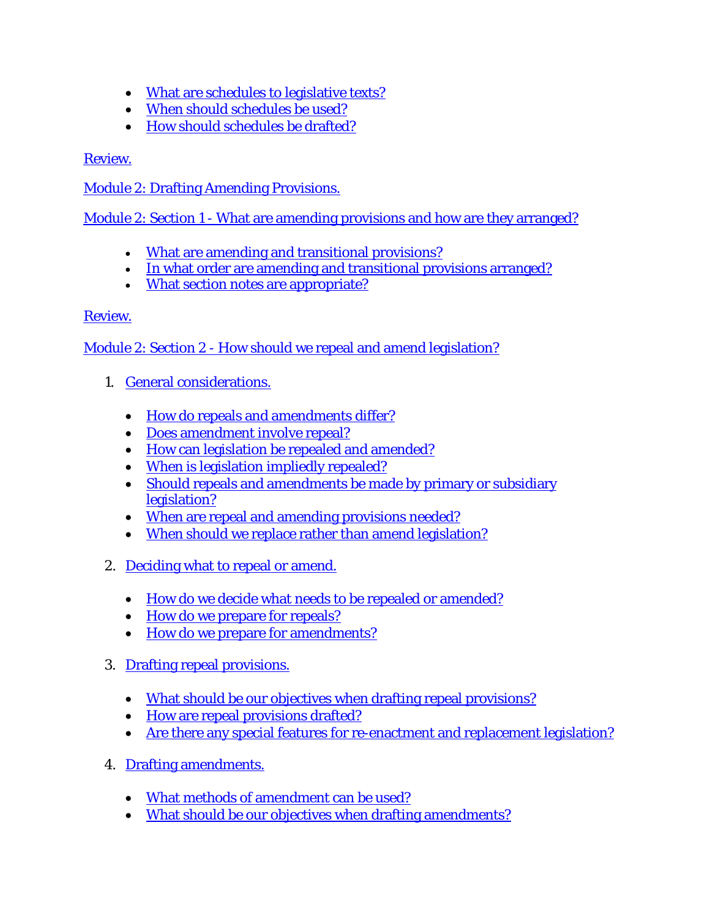- [What are schedules to legislative texts?](http://ocw.lms.athabascau.ca/mod/book/view.php?id=2301&chapterid=1834)
- [When should schedules be used?](http://ocw.lms.athabascau.ca/mod/book/view.php?id=2301&chapterid=1835)
- [How should schedules be drafted?](http://ocw.lms.athabascau.ca/mod/book/view.php?id=2301&chapterid=1836)

[Module 2: Drafting Amending Provisions.](http://ocw.lms.athabascau.ca/mod/page/view.php?id=2303)

Module 2: Section 1 - [What are amending provisions and how are they arranged?](http://ocw.lms.athabascau.ca/mod/book/view.php?id=2304)

- [What are amending and transitional provisions?](http://ocw.lms.athabascau.ca/mod/book/view.php?id=2304&chapterid=1841)
- [In what order are amending and transitional provisions arranged?](http://ocw.lms.athabascau.ca/mod/book/view.php?id=2304&chapterid=1839)
- [What section notes are appropriate?](http://ocw.lms.athabascau.ca/mod/book/view.php?id=2304&chapterid=1842)

## [Review.](http://ocw.lms.athabascau.ca/mod/book/view.php?id=2304&chapterid=1840)

Module 2: Section 2 - [How should we repeal and amend legislation?](http://ocw.lms.athabascau.ca/mod/book/view.php?id=2305)

- 1. [General considerations.](http://ocw.lms.athabascau.ca/mod/book/view.php?id=2305&chapterid=1845)
	- [How do repeals and amendments differ?](http://ocw.lms.athabascau.ca/mod/book/view.php?id=2305&chapterid=1875)
	- [Does amendment involve repeal?](http://ocw.lms.athabascau.ca/mod/book/view.php?id=2305&chapterid=1846)
	- [How can legislation be repealed and amended?](http://ocw.lms.athabascau.ca/mod/book/view.php?id=2305&chapterid=1847)
	- [When is legislation impliedly repealed?](http://ocw.lms.athabascau.ca/mod/book/view.php?id=2305&chapterid=1848)
	- Should repeals and amendments be made by primary or subsidiary [legislation?](http://ocw.lms.athabascau.ca/mod/book/view.php?id=2305&chapterid=1849)
	- [When are repeal and amending provisions needed?](http://ocw.lms.athabascau.ca/mod/book/view.php?id=2305&chapterid=1850)
	- [When should we replace rather than amend legislation?](http://ocw.lms.athabascau.ca/mod/book/view.php?id=2305&chapterid=1851)
- 2. [Deciding what to repeal or amend.](http://ocw.lms.athabascau.ca/mod/book/view.php?id=2305&chapterid=1852)
	- [How do we decide what needs to be repealed or amended?](http://ocw.lms.athabascau.ca/mod/book/view.php?id=2305&chapterid=1853)
	- [How do we prepare for repeals?](http://ocw.lms.athabascau.ca/mod/book/view.php?id=2305&chapterid=1854)
	- [How do we prepare for amendments?](http://ocw.lms.athabascau.ca/mod/book/view.php?id=2305&chapterid=1855)
- 3. [Drafting repeal provisions.](http://ocw.lms.athabascau.ca/mod/book/view.php?id=2305&chapterid=1856)
	- [What should be our objectives when drafting repeal provisions?](http://ocw.lms.athabascau.ca/mod/book/view.php?id=2305&chapterid=1857)
	- [How are repeal provisions drafted?](http://ocw.lms.athabascau.ca/mod/book/view.php?id=2305&chapterid=1858)
	- [Are there any special features for re-enactment and replacement legislation?](http://ocw.lms.athabascau.ca/mod/book/view.php?id=2305&chapterid=1859)
- 4. [Drafting amendments.](http://ocw.lms.athabascau.ca/mod/book/view.php?id=2305&chapterid=1860)
	- [What methods of amendment can be used?](http://ocw.lms.athabascau.ca/mod/book/view.php?id=2305&chapterid=1861)
	- [What should be our objectives when drafting amendments?](http://ocw.lms.athabascau.ca/mod/book/view.php?id=2305&chapterid=1862)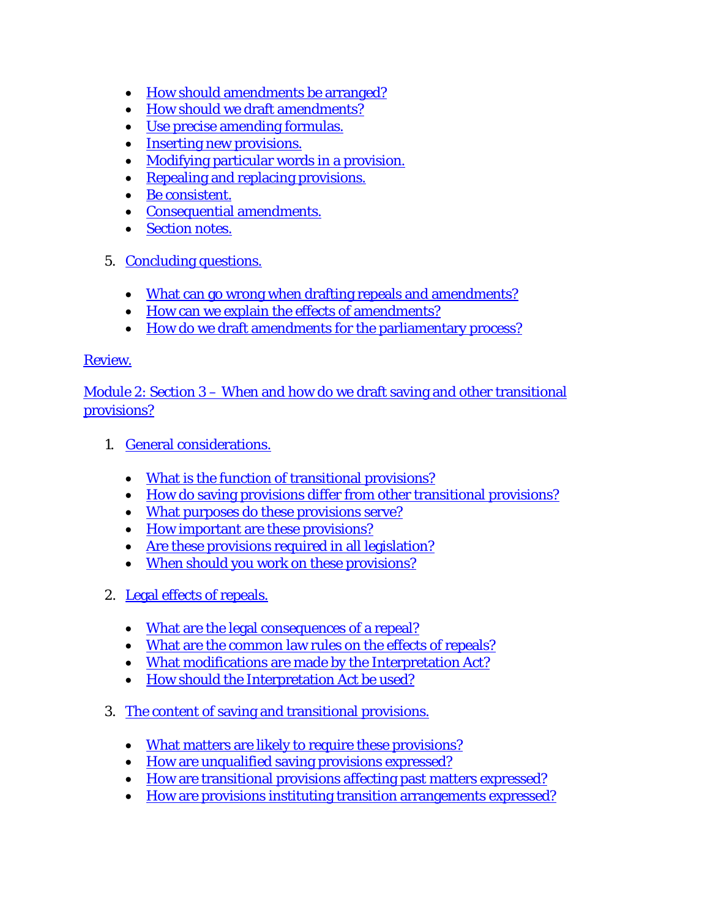- [How should amendments be arranged?](http://ocw.lms.athabascau.ca/mod/book/view.php?id=2305&chapterid=1876)
- [How should we draft amendments?](http://ocw.lms.athabascau.ca/mod/book/view.php?id=2305&chapterid=1863)
- [Use precise amending formulas.](http://ocw.lms.athabascau.ca/mod/book/view.php?id=2305&chapterid=1864)
- [Inserting new provisions.](http://ocw.lms.athabascau.ca/mod/book/view.php?id=2305&chapterid=1865)
- [Modifying particular words in a provision.](http://ocw.lms.athabascau.ca/mod/book/view.php?id=2305&chapterid=1843)
- [Repealing and replacing provisions.](http://ocw.lms.athabascau.ca/mod/book/view.php?id=2305&chapterid=1866)
- [Be consistent.](http://ocw.lms.athabascau.ca/mod/book/view.php?id=2305&chapterid=1867)
- [Consequential amendments.](http://ocw.lms.athabascau.ca/mod/book/view.php?id=2305&chapterid=1868)
- [Section notes.](http://ocw.lms.athabascau.ca/mod/book/view.php?id=2305&chapterid=1869)
- 5. [Concluding questions.](http://ocw.lms.athabascau.ca/mod/book/view.php?id=2305&chapterid=1870)
	- [What can go wrong when drafting repeals and amendments?](http://ocw.lms.athabascau.ca/mod/book/view.php?id=2305&chapterid=1871)
	- [How can we explain the effects of amendments?](http://ocw.lms.athabascau.ca/mod/book/view.php?id=2305&chapterid=1872)
	- [How do we draft amendments for the parliamentary process?](http://ocw.lms.athabascau.ca/mod/book/view.php?id=2305&chapterid=1873)

Module 2: Section 3 – [When and how do we draft saving and other transitional](http://ocw.lms.athabascau.ca/mod/book/view.php?id=2313)  [provisions?](http://ocw.lms.athabascau.ca/mod/book/view.php?id=2313)

- 1. [General considerations.](http://ocw.lms.athabascau.ca/mod/book/view.php?id=2313&chapterid=1879)
	- [What is the function of transitional provisions?](http://ocw.lms.athabascau.ca/mod/book/view.php?id=2313&chapterid=1899)
	- [How do saving provisions differ from other transitional provisions?](http://ocw.lms.athabascau.ca/mod/book/view.php?id=2313&chapterid=1900)
	- [What purposes do these provisions serve?](http://ocw.lms.athabascau.ca/mod/book/view.php?id=2313&chapterid=1880)
	- [How important are these provisions?](http://ocw.lms.athabascau.ca/mod/book/view.php?id=2313&chapterid=1881)
	- [Are these provisions required in all legislation?](http://ocw.lms.athabascau.ca/mod/book/view.php?id=2313&chapterid=1882)
	- [When should you work on these provisions?](http://ocw.lms.athabascau.ca/mod/book/view.php?id=2313&chapterid=1883)
- 2. [Legal effects](http://ocw.lms.athabascau.ca/mod/book/view.php?id=2313&chapterid=1884) of repeals.
	- [What are the legal consequences of a repeal?](http://ocw.lms.athabascau.ca/mod/book/view.php?id=2313&chapterid=1885)
	- [What are the common law rules on the effects of repeals?](http://ocw.lms.athabascau.ca/mod/book/view.php?id=2313&chapterid=1901)
	- [What modifications are made by the Interpretation Act?](http://ocw.lms.athabascau.ca/mod/book/view.php?id=2313&chapterid=1886)
	- [How should the Interpretation Act be used?](http://ocw.lms.athabascau.ca/mod/book/view.php?id=2313&chapterid=1887)
- 3. [The content of saving and transitional provisions.](http://ocw.lms.athabascau.ca/mod/book/view.php?id=2313&chapterid=1888)
	- [What matters are likely to require these provisions?](http://ocw.lms.athabascau.ca/mod/book/view.php?id=2313&chapterid=1902)
	- [How are unqualified saving provisions expressed?](http://ocw.lms.athabascau.ca/mod/book/view.php?id=2313&chapterid=1889)
	- [How are transitional provisions affecting past matters expressed?](http://ocw.lms.athabascau.ca/mod/book/view.php?id=2313&chapterid=1890)
	- [How are provisions instituting transition arrangements expressed?](http://ocw.lms.athabascau.ca/mod/book/view.php?id=2313&chapterid=1891)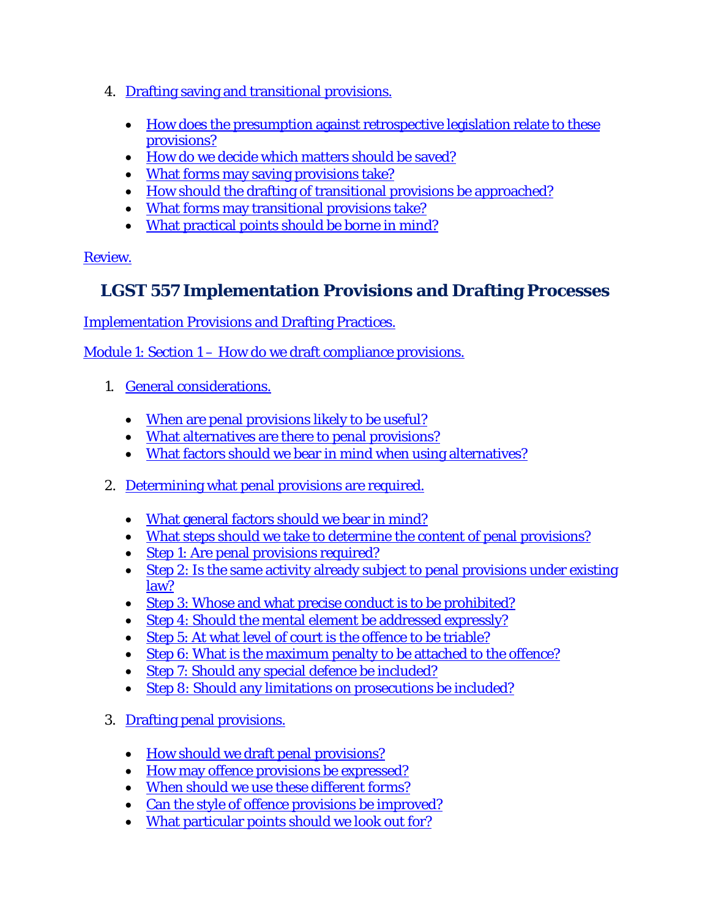- 4. [Drafting saving and transitional provisions.](http://ocw.lms.athabascau.ca/mod/book/view.php?id=2313&chapterid=1892)
	- How does the presumption against retrospective legislation relate to these [provisions?](http://ocw.lms.athabascau.ca/mod/book/view.php?id=2313&chapterid=1893)
	- [How do we decide which matters should be saved?](http://ocw.lms.athabascau.ca/mod/book/view.php?id=2313&chapterid=1894)
	- [What forms may saving provisions take?](http://ocw.lms.athabascau.ca/mod/book/view.php?id=2313&chapterid=1877)
	- [How should the drafting of transitional provisions be approached?](http://ocw.lms.athabascau.ca/mod/book/view.php?id=2313&chapterid=1895)
	- [What forms may transitional provisions take?](http://ocw.lms.athabascau.ca/mod/book/view.php?id=2313&chapterid=1896)
	- [What practical points should be borne in mind?](http://ocw.lms.athabascau.ca/mod/book/view.php?id=2313&chapterid=1897)

# **LGST 557 Implementation Provisions and Drafting Processes**

[Implementation Provisions and Drafting Practices.](http://ocw.lms.athabascau.ca/course/view.php?id=63)

Module 1: Section 1 – [How do we draft compliance provisions.](http://ocw.lms.athabascau.ca/mod/page/view.php?id=2397)

- 1. [General considerations.](http://ocw.lms.athabascau.ca/mod/book/view.php?id=2398&chapterid=2052)
	- [When are penal provisions likely to be useful?](http://ocw.lms.athabascau.ca/mod/book/view.php?id=2398&chapterid=2055)
	- [What alternatives are there to penal provisions?](http://ocw.lms.athabascau.ca/mod/book/view.php?id=2398&chapterid=2037)
	- [What factors should we bear in mind when using alternatives?](http://ocw.lms.athabascau.ca/mod/book/view.php?id=2398&chapterid=2056)
- 2. [Determining what penal provisions are required.](http://ocw.lms.athabascau.ca/mod/book/view.php?id=2398&chapterid=2054)
	- [What general factors should we bear in mind?](http://ocw.lms.athabascau.ca/mod/book/view.php?id=2398&chapterid=2038)
	- [What steps should we take to determine the content of penal provisions?](http://ocw.lms.athabascau.ca/mod/book/view.php?id=2398&chapterid=2053)
	- [Step 1: Are penal provisions required?](http://ocw.lms.athabascau.ca/mod/book/view.php?id=2398&chapterid=2039)
	- Step 2: Is the same activity already subject to penal provisions under existing [law?](http://ocw.lms.athabascau.ca/mod/book/view.php?id=2398&chapterid=2059)
	- [Step 3: Whose and what precise conduct is to be prohibited?](http://ocw.lms.athabascau.ca/mod/book/view.php?id=2398&chapterid=2044)
	- [Step 4: Should the mental element be addressed expressly?](http://ocw.lms.athabascau.ca/mod/book/view.php?id=2398&chapterid=2040)
	- Step 5: At what [level of court is the offence to be triable?](http://ocw.lms.athabascau.ca/mod/book/view.php?id=2398&chapterid=2057)
	- [Step 6: What is the maximum penalty to be attached to the offence?](http://ocw.lms.athabascau.ca/mod/book/view.php?id=2398&chapterid=2041)
	- [Step 7: Should any special defence be included?](http://ocw.lms.athabascau.ca/mod/book/view.php?id=2398&chapterid=2042)
	- [Step 8: Should any limitations on prosecutions be included?](http://ocw.lms.athabascau.ca/mod/book/view.php?id=2398&chapterid=2043)
- 3. [Drafting penal provisions.](http://ocw.lms.athabascau.ca/mod/book/view.php?id=2398&chapterid=2045)
	- [How should we draft penal provisions?](http://ocw.lms.athabascau.ca/mod/book/view.php?id=2398&chapterid=2062)
	- [How may offence provisions be expressed?](http://ocw.lms.athabascau.ca/mod/book/view.php?id=2398&chapterid=2063)
	- [When should we use these different forms?](http://ocw.lms.athabascau.ca/mod/book/view.php?id=2398&chapterid=2046)
	- [Can the style of offence provisions be improved?](http://ocw.lms.athabascau.ca/mod/book/view.php?id=2398&chapterid=2047)
	- [What particular points should we look out for?](http://ocw.lms.athabascau.ca/mod/book/view.php?id=2398&chapterid=2048)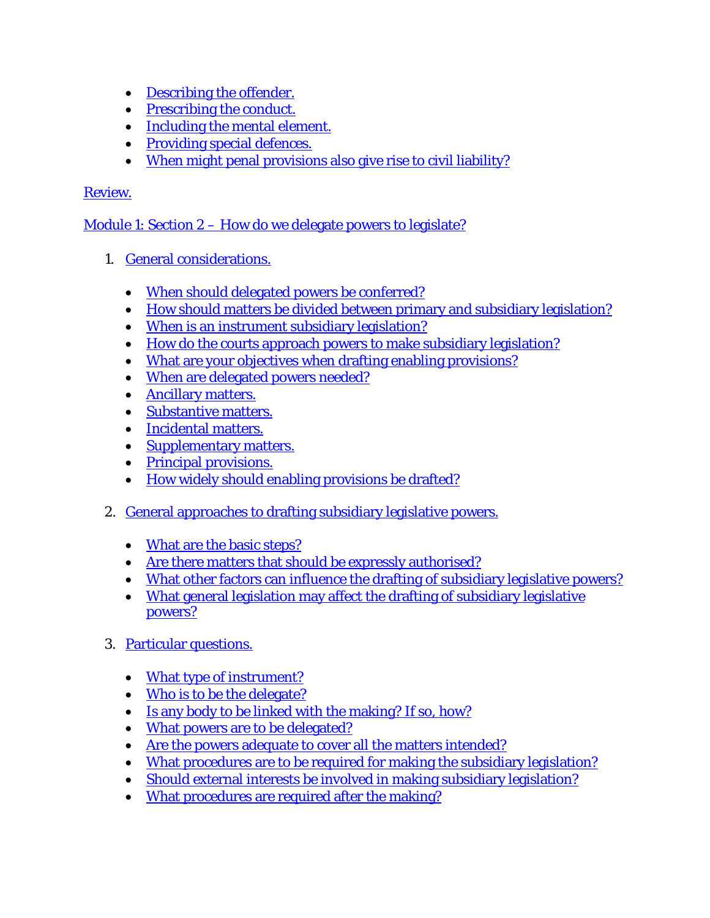- [Describing the offender.](http://ocw.lms.athabascau.ca/mod/book/view.php?id=2398&chapterid=2048)
- [Prescribing the conduct.](http://ocw.lms.athabascau.ca/mod/book/view.php?id=2398&chapterid=2049)
- [Including the mental element.](http://ocw.lms.athabascau.ca/mod/book/view.php?id=2398&chapterid=2050)
- [Providing special defences.](http://ocw.lms.athabascau.ca/mod/book/view.php?id=2398&chapterid=2060)
- [When might penal provisions also give rise to civil liability?](http://ocw.lms.athabascau.ca/mod/book/view.php?id=2398&chapterid=2051)

Module 1: Section 2 – [How do we delegate powers to legislate?](http://ocw.lms.athabascau.ca/mod/book/view.php?id=2404)

- 1. [General considerations.](http://ocw.lms.athabascau.ca/mod/book/view.php?id=2404&chapterid=2083)
	- [When should delegated powers be conferred?](http://ocw.lms.athabascau.ca/mod/book/view.php?id=2404&chapterid=2090)
	- [How should matters be divided between primary and subsidiary legislation?](http://ocw.lms.athabascau.ca/mod/book/view.php?id=2404&chapterid=2065)
	- [When is an instrument subsidiary legislation?](http://ocw.lms.athabascau.ca/mod/book/view.php?id=2404&chapterid=2066)
	- [How do the courts approach powers to make subsidiary legislation?](http://ocw.lms.athabascau.ca/mod/book/view.php?id=2404&chapterid=2087)
	- [What are your objectives when drafting enabling provisions?](http://ocw.lms.athabascau.ca/mod/book/view.php?id=2404&chapterid=2067)
	- [When are delegated powers needed?](http://ocw.lms.athabascau.ca/mod/book/view.php?id=2404&chapterid=2068)
	- [Ancillary matters.](http://ocw.lms.athabascau.ca/mod/book/view.php?id=2404&chapterid=2086)
	- [Substantive matters.](http://ocw.lms.athabascau.ca/mod/book/view.php?id=2404&chapterid=2081)
	- [Incidental matters.](http://ocw.lms.athabascau.ca/mod/book/view.php?id=2404&chapterid=2085)
	- [Supplementary matters.](http://ocw.lms.athabascau.ca/mod/book/view.php?id=2404&chapterid=2069)
	- [Principal provisions.](http://ocw.lms.athabascau.ca/mod/book/view.php?id=2404&chapterid=2084)
	- [How widely should enabling provisions be drafted?](http://ocw.lms.athabascau.ca/mod/book/view.php?id=2404&chapterid=2070)
- 2. [General approaches to drafting subsidiary legislative powers.](http://ocw.lms.athabascau.ca/mod/book/view.php?id=2404&chapterid=2071)
	- [What are the basic steps?](http://ocw.lms.athabascau.ca/mod/book/view.php?id=2404&chapterid=2080)
	- Are there [matters that should be expressly authorised?](http://ocw.lms.athabascau.ca/mod/book/view.php?id=2404&chapterid=2072)
	- [What other factors can influence the drafting of subsidiary legislative powers?](http://ocw.lms.athabascau.ca/mod/book/view.php?id=2404&chapterid=2091)
	- [What general legislation may affect the drafting of subsidiary legislative](http://ocw.lms.athabascau.ca/mod/book/view.php?id=2404&chapterid=2073)  [powers?](http://ocw.lms.athabascau.ca/mod/book/view.php?id=2404&chapterid=2073)
- 3. [Particular questions.](http://ocw.lms.athabascau.ca/mod/book/view.php?id=2404&chapterid=2074)
	- [What type of instrument?](http://ocw.lms.athabascau.ca/mod/book/view.php?id=2404&chapterid=2075)
	- [Who is to be the delegate?](http://ocw.lms.athabascau.ca/mod/book/view.php?id=2404&chapterid=2076)
	- [Is any body to be linked with the making? If so, how?](http://ocw.lms.athabascau.ca/mod/book/view.php?id=2404&chapterid=2089)
	- [What powers are to be delegated?](http://ocw.lms.athabascau.ca/mod/book/view.php?id=2404&chapterid=2077)
	- [Are the powers adequate to cover all the matters intended?](http://ocw.lms.athabascau.ca/mod/book/view.php?id=2404&chapterid=2093)
	- [What procedures are to be required for making the subsidiary legislation?](http://ocw.lms.athabascau.ca/mod/book/view.php?id=2404&chapterid=2082)
	- [Should external interests be involved in making subsidiary legislation?](http://ocw.lms.athabascau.ca/mod/book/view.php?id=2404&chapterid=2078)
	- [What procedures are required after the making?](http://ocw.lms.athabascau.ca/mod/book/view.php?id=2404&chapterid=2079)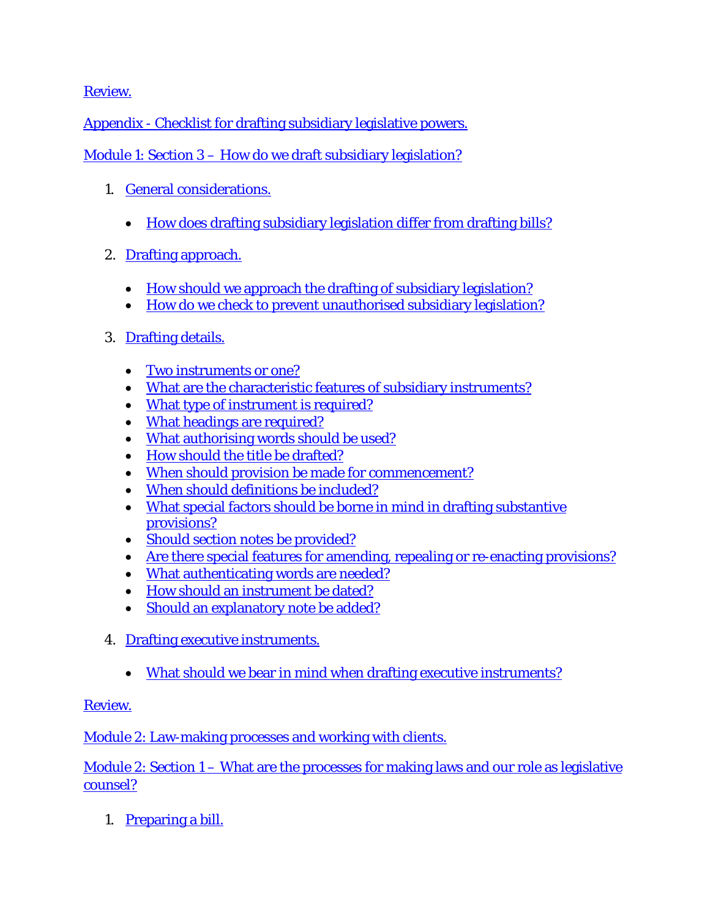Appendix - [Checklist for drafting subsidiary legislative powers.](http://ocw.lms.athabascau.ca/mod/book/view.php?id=2404&chapterid=2092)

- Module 1: Section 3 [How do we draft subsidiary legislation?](http://ocw.lms.athabascau.ca/mod/book/view.php?id=2411)
	- 1. [General considerations.](http://ocw.lms.athabascau.ca/mod/book/view.php?id=2411&chapterid=2115)
		- [How does drafting subsidiary legislation differ from drafting bills?](http://ocw.lms.athabascau.ca/mod/book/view.php?id=2411&chapterid=2095)
	- 2. [Drafting approach.](http://ocw.lms.athabascau.ca/mod/book/view.php?id=2411&chapterid=2096)
		- [How should we approach the drafting of subsidiary legislation?](http://ocw.lms.athabascau.ca/mod/book/view.php?id=2411&chapterid=2097)
		- [How do we check to prevent unauthorised subsidiary legislation?](http://ocw.lms.athabascau.ca/mod/book/view.php?id=2411&chapterid=2098)
	- 3. [Drafting details.](http://ocw.lms.athabascau.ca/mod/book/view.php?id=2411&chapterid=2099)
		- [Two instruments or one?](http://ocw.lms.athabascau.ca/mod/book/view.php?id=2411&chapterid=2116)
		- [What are the characteristic features of subsidiary instruments?](http://ocw.lms.athabascau.ca/mod/book/view.php?id=2411&chapterid=2100)
		- [What type of instrument is required?](http://ocw.lms.athabascau.ca/mod/book/view.php?id=2411&chapterid=2101)
		- [What headings are required?](http://ocw.lms.athabascau.ca/mod/book/view.php?id=2411&chapterid=2102)
		- [What authorising words should be used?](http://ocw.lms.athabascau.ca/mod/book/view.php?id=2411&chapterid=2103)
		- [How should the title be drafted?](http://ocw.lms.athabascau.ca/mod/book/view.php?id=2411&chapterid=2104)
		- [When should provision be made for commencement?](http://ocw.lms.athabascau.ca/mod/book/view.php?id=2411&chapterid=2105)
		- [When should definitions be included?](http://ocw.lms.athabascau.ca/mod/book/view.php?id=2411&chapterid=2108)
		- [What special factors should be borne in mind in drafting substantive](http://ocw.lms.athabascau.ca/mod/book/view.php?id=2411&chapterid=2112)  [provisions?](http://ocw.lms.athabascau.ca/mod/book/view.php?id=2411&chapterid=2112)
		- [Should section notes be provided?](http://ocw.lms.athabascau.ca/mod/book/view.php?id=2411&chapterid=2109)
		- [Are there special features for amending, repealing or re-enacting provisions?](http://ocw.lms.athabascau.ca/mod/book/view.php?id=2411&chapterid=2113)
		- [What authenticating words are needed?](http://ocw.lms.athabascau.ca/mod/book/view.php?id=2411&chapterid=2117)
		- [How should an instrument be dated?](http://ocw.lms.athabascau.ca/mod/book/view.php?id=2411&chapterid=2114)
		- [Should an explanatory note be added?](http://ocw.lms.athabascau.ca/mod/book/view.php?id=2411&chapterid=2110)
	- 4. [Drafting executive instruments.](http://ocw.lms.athabascau.ca/mod/book/view.php?id=2411&chapterid=2106)
		- What should we [bear in mind when drafting executive instruments?](http://ocw.lms.athabascau.ca/mod/book/view.php?id=2411&chapterid=2107)

[Review.](http://ocw.lms.athabascau.ca/mod/book/view.php?id=2411&chapterid=2111)

[Module 2: Law-making processes and working with clients.](http://ocw.lms.athabascau.ca/mod/page/view.php?id=2413)

Module 2: Section 1 – [What are the processes for making laws and our role as legislative](http://ocw.lms.athabascau.ca/mod/book/view.php?id=2414)  [counsel?](http://ocw.lms.athabascau.ca/mod/book/view.php?id=2414)

1. [Preparing a bill.](http://ocw.lms.athabascau.ca/mod/book/view.php?id=2414&chapterid=2120)